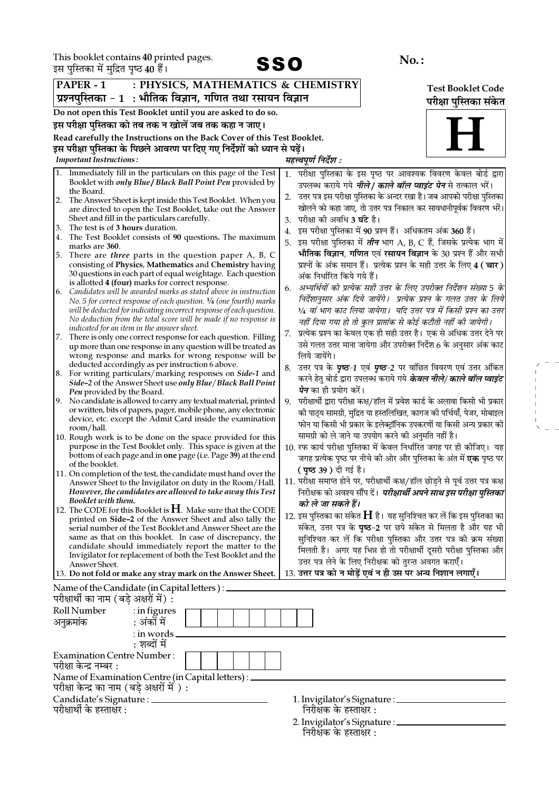This booklet contains 40 printed pages.



 $\begin{array}{l} \mathcal{L} = \mathcal{L} \\ \mathcal{L} = \mathcal{L} \\ \mathcal{L} = \mathcal{L} \\ \mathcal{L} = \mathcal{L} \\ \mathcal{L} = \mathcal{L} \\ \mathcal{L} = \mathcal{L} \\ \mathcal{L} = \mathcal{L} \\ \mathcal{L} = \mathcal{L} \\ \mathcal{L} = \mathcal{L} \\ \mathcal{L} = \mathcal{L} \\ \mathcal{L} = \mathcal{L} \\ \mathcal{L} = \mathcal{L} \\ \mathcal{L} = \mathcal{L} \\ \mathcal{L} = \mathcal{L} \\ \mathcal{L} = \mathcal{L} \\ \mathcal$ 

| इस पुस्तिका में मुद्रित पृष्ठ 40 हैं।<br>JJU                                                                                                                                                                                                                                                                                                                                                                                                                                                                                                                                                                                                                                                                                                                                                                                                                                                                                                                                                                                                                                                                                                                                                                                                                                                                                                                                                                                                                                                                                                               |                                                                                                                                                                                                                                                                                                                                                                                                                                                                                                                                                                                                                                                                                                                                                                                                                                                                                                                                                                                                                                                                                                                                                                                                                                                                                                                                                                                                                                                         |  |  |  |
|------------------------------------------------------------------------------------------------------------------------------------------------------------------------------------------------------------------------------------------------------------------------------------------------------------------------------------------------------------------------------------------------------------------------------------------------------------------------------------------------------------------------------------------------------------------------------------------------------------------------------------------------------------------------------------------------------------------------------------------------------------------------------------------------------------------------------------------------------------------------------------------------------------------------------------------------------------------------------------------------------------------------------------------------------------------------------------------------------------------------------------------------------------------------------------------------------------------------------------------------------------------------------------------------------------------------------------------------------------------------------------------------------------------------------------------------------------------------------------------------------------------------------------------------------------|---------------------------------------------------------------------------------------------------------------------------------------------------------------------------------------------------------------------------------------------------------------------------------------------------------------------------------------------------------------------------------------------------------------------------------------------------------------------------------------------------------------------------------------------------------------------------------------------------------------------------------------------------------------------------------------------------------------------------------------------------------------------------------------------------------------------------------------------------------------------------------------------------------------------------------------------------------------------------------------------------------------------------------------------------------------------------------------------------------------------------------------------------------------------------------------------------------------------------------------------------------------------------------------------------------------------------------------------------------------------------------------------------------------------------------------------------------|--|--|--|
| : PHYSICS, MATHEMATICS & CHEMISTRY<br>PAPER - 1                                                                                                                                                                                                                                                                                                                                                                                                                                                                                                                                                                                                                                                                                                                                                                                                                                                                                                                                                                                                                                                                                                                                                                                                                                                                                                                                                                                                                                                                                                            | <b>Test Booklet Code</b>                                                                                                                                                                                                                                                                                                                                                                                                                                                                                                                                                                                                                                                                                                                                                                                                                                                                                                                                                                                                                                                                                                                                                                                                                                                                                                                                                                                                                                |  |  |  |
| प्रश्नपुस्तिका - 1  : भौतिक विज्ञान, गणित तथा रसायन विज्ञान                                                                                                                                                                                                                                                                                                                                                                                                                                                                                                                                                                                                                                                                                                                                                                                                                                                                                                                                                                                                                                                                                                                                                                                                                                                                                                                                                                                                                                                                                                | परीक्षा पुस्तिका संकेत                                                                                                                                                                                                                                                                                                                                                                                                                                                                                                                                                                                                                                                                                                                                                                                                                                                                                                                                                                                                                                                                                                                                                                                                                                                                                                                                                                                                                                  |  |  |  |
| Do not open this Test Booklet until you are asked to do so.                                                                                                                                                                                                                                                                                                                                                                                                                                                                                                                                                                                                                                                                                                                                                                                                                                                                                                                                                                                                                                                                                                                                                                                                                                                                                                                                                                                                                                                                                                |                                                                                                                                                                                                                                                                                                                                                                                                                                                                                                                                                                                                                                                                                                                                                                                                                                                                                                                                                                                                                                                                                                                                                                                                                                                                                                                                                                                                                                                         |  |  |  |
| इस परीक्षा पुस्तिका को तब तक न खोलें जब तक कहा न जाए।                                                                                                                                                                                                                                                                                                                                                                                                                                                                                                                                                                                                                                                                                                                                                                                                                                                                                                                                                                                                                                                                                                                                                                                                                                                                                                                                                                                                                                                                                                      |                                                                                                                                                                                                                                                                                                                                                                                                                                                                                                                                                                                                                                                                                                                                                                                                                                                                                                                                                                                                                                                                                                                                                                                                                                                                                                                                                                                                                                                         |  |  |  |
| Read carefully the Instructions on the Back Cover of this Test Booklet.                                                                                                                                                                                                                                                                                                                                                                                                                                                                                                                                                                                                                                                                                                                                                                                                                                                                                                                                                                                                                                                                                                                                                                                                                                                                                                                                                                                                                                                                                    |                                                                                                                                                                                                                                                                                                                                                                                                                                                                                                                                                                                                                                                                                                                                                                                                                                                                                                                                                                                                                                                                                                                                                                                                                                                                                                                                                                                                                                                         |  |  |  |
| इस परीक्षा पुस्तिका के पिछले आवरण पर दिए गए निर्देशों को ध्यान से पढ़ें।                                                                                                                                                                                                                                                                                                                                                                                                                                                                                                                                                                                                                                                                                                                                                                                                                                                                                                                                                                                                                                                                                                                                                                                                                                                                                                                                                                                                                                                                                   |                                                                                                                                                                                                                                                                                                                                                                                                                                                                                                                                                                                                                                                                                                                                                                                                                                                                                                                                                                                                                                                                                                                                                                                                                                                                                                                                                                                                                                                         |  |  |  |
| <b>Important Instructions:</b>                                                                                                                                                                                                                                                                                                                                                                                                                                                                                                                                                                                                                                                                                                                                                                                                                                                                                                                                                                                                                                                                                                                                                                                                                                                                                                                                                                                                                                                                                                                             | महत्त्वपूर्ण निर्देश :                                                                                                                                                                                                                                                                                                                                                                                                                                                                                                                                                                                                                                                                                                                                                                                                                                                                                                                                                                                                                                                                                                                                                                                                                                                                                                                                                                                                                                  |  |  |  |
| 1. Immediately fill in the particulars on this page of the Test<br>Booklet with only Blue / Black Ball Point Pen provided by<br>the Board.<br>The Answer Sheet is kept inside this Test Booklet. When you<br>2.<br>are directed to open the Test Booklet, take out the Answer<br>Sheet and fill in the particulars carefully.<br>The test is of 3 hours duration.<br>3.<br>The Test Booklet consists of 90 questions. The maximum<br>4.<br>marks are 360.<br>There are <i>three</i> parts in the question paper A, B, C<br>5.<br>consisting of Physics, Mathematics and Chemistry having<br>30 questions in each part of equal weightage. Each question<br>is allotted 4 (four) marks for correct response.<br>Candidates will be awarded marks as stated above in instruction<br>6.<br>No. 5 for correct response of each question. $\frac{1}{4}$ (one fourth) marks<br>will be deducted for indicating incorrect response of each question.<br>No deduction from the total score will be made if no response is<br>indicated for an item in the answer sheet.<br>7. There is only one correct response for each question. Filling<br>up more than one response in any question will be treated as<br>wrong response and marks for wrong response will be<br>deducted accordingly as per instruction 6 above.<br>8. For writing particulars/marking responses on Side-1 and<br><i>Side-2</i> of the Answer Sheet use <i>only Blue/Black Ball Point</i><br>Pen provided by the Board.<br>9. No candidate is allowed to carry any textual material, printed | परीक्षा पुस्तिका के इस पृष्ठ पर आवश्यक विवरण केवल बोर्ड द्वारा<br>1.<br>उपलब्ध कराये गये <i><b>नीले/ काले बॉल प्वाइंट पेन</b></i> से तत्काल भरें।<br>उत्तर पत्र इस परीक्षा पुस्तिका के अन्दर रखा है। जब आपको परीक्षा पुस्तिका<br>2.<br>खोलने को कहा जाए, तो उत्तर पत्र निकाल कर सावधानीपूर्वक विवरण भरें।<br>परीक्षा को अवधि <b>3 घंटे</b> है।<br>3.<br>इस परीक्षा पुस्तिका में 90 प्रश्न हैं। अधिकतम अंक 360 हैं।<br>4.<br>इस परीक्षा पुस्तिका में <i>तीन</i> भाग A, B, C हैं, जिसके प्रत्येक भाग में <br>भौतिक विज्ञान, गणित एवं रसायन विज्ञान के 30 प्रश्न हैं और सभी<br>प्रश्नों के अंक समान हैं। प्रत्येक प्रश्न के सही उत्तर के लिए 4 ( चार )<br>अंक निर्धारित किये गये हैं।<br>अभ्यर्थियों को प्रत्येक सही उत्तर के लिए उपरोक्त निर्देशन संख्या 5 के<br>6.<br>निर्देशानुसार अंक दिये जायेंगे।  प्रत्येक प्रश्न के गलत उत्तर के लिये<br>1⁄4 वां भाग काट लिया जायेगा।  यदि उत्तर पत्र में किसी प्रश्न का उत्तर<br>नहीं दिया गया हो तो कुल प्राप्तांक से कोई कटौती नहीं की जायेगी।<br>प्रत्येक प्रश्न का केवल एक ही सही उत्तर है। एक से अधिक उत्तर देने पर<br>7.<br>उसे गलत उत्तर माना जायेगा और उपरोक्त निर्देश 6 के अनुसार अंक काट<br>लिये जायेंगे।<br>उत्तर पत्र के <i>पृष्ठ-1</i> एवं <i>पृष्ठ-2</i> पर वांछित विवरण एवं उत्तर अंकित<br>8.<br>करने हेतु बोर्ड द्वारा उपलब्ध कराये गये <i>केवल नीले/ काले बॉल प्वाइंट</i><br><i>पेन</i> का ही प्रयोग करें।<br>परीक्षार्थी द्वारा परीक्षा कक्ष/हॉल में प्रवेश कार्ड के अलावा किसी भी प्रकार<br>9. |  |  |  |
| or written, bits of papers, pager, mobile phone, any electronic<br>device, etc. except the Admit Card inside the examination<br>room/hall.<br>10. Rough work is to be done on the space provided for this<br>purpose in the Test Booklet only. This space is given at the<br>bottom of each page and in one page (i.e. Page 39) at the end<br>of the booklet.<br>11. On completion of the test, the candidate must hand over the<br>Answer Sheet to the Invigilator on duty in the Room/Hall.<br>However, the candidates are allowed to take away this Test<br>Booklet with them.                                                                                                                                                                                                                                                                                                                                                                                                                                                                                                                                                                                                                                                                                                                                                                                                                                                                                                                                                                          | की पाठ्य सामग्री, मुद्रित या हस्तलिखित, कागज की पर्चियाँ, पेजर, मोबाइल<br>फोन या किसी भी प्रकार के इलेक्ट्रॉनिक उपकरणों या किसी अन्य प्रकार की<br>सामग्री को ले जाने या उपयोग करने की अनुमति नहीं है।<br>10. रफ कार्य परीक्षा पुस्तिका में केवल निर्धारित जगह पर ही कीजिए। यह<br>जगह प्रत्येक पृष्ठ पर नीचे की ओर और पुस्तिका के अंत में <b>एक</b> पृष्ठ पर<br><b>( पृष्ठ 39 )</b> दी गई है।<br>11. परीक्षा समाप्त होने पर, परीक्षार्थी कक्ष/हॉल छोड़ने से पूर्व उत्तर पत्र कक्ष <br>निरीक्षक को अवश्य सौंप दें। <i>परीक्षार्थी अपने साथ इस परीक्षा पुस्तिका</i><br>को ले जा सकते हैं।                                                                                                                                                                                                                                                                                                                                                                                                                                                                                                                                                                                                                                                                                                                                                                                                                                                                  |  |  |  |
| 12. The CODE for this Booklet is $H$ . Make sure that the CODE<br>printed on Side-2 of the Answer Sheet and also tally the<br>serial number of the Test Booklet and Answer Sheet are the<br>same as that on this booklet. In case of discrepancy, the<br>candidate should immediately report the matter to the<br>Invigilator for replacement of both the Test Booklet and the<br>Answer Sheet.<br>13. Do not fold or make any stray mark on the Answer Sheet.                                                                                                                                                                                                                                                                                                                                                                                                                                                                                                                                                                                                                                                                                                                                                                                                                                                                                                                                                                                                                                                                                             | 12. इस पुस्तिका का संकेत $\bf H$ है। यह सुनिश्चित कर लें कि इस पुस्तिका का<br>संकेत, उत्तर पत्र के <b>पृष्ठ-2</b> पर छपे संकेत से मिलता है और यह भी<br>सुनिश्चित कर लें कि परीक्षा पुस्तिका और उत्तर पत्र की क्रम संख्या<br>मिलती है। अगर यह भिन्न हो तो परीक्षार्थी दूसरी परीक्षा पुस्तिका और<br>उत्तर पत्र लेने के लिए निरीक्षक को तुरन्त अवगत कराएँ।<br>13. उत्तर पत्र को न मोड़ें एवं न ही उस पर अन्य निशान लगाएँ।                                                                                                                                                                                                                                                                                                                                                                                                                                                                                                                                                                                                                                                                                                                                                                                                                                                                                                                                                                                                                                  |  |  |  |
| Name of the Candidate (in Capital letters) : _<br>परीक्षार्थी का नाम (बड़े अक्षरों में) :                                                                                                                                                                                                                                                                                                                                                                                                                                                                                                                                                                                                                                                                                                                                                                                                                                                                                                                                                                                                                                                                                                                                                                                                                                                                                                                                                                                                                                                                  |                                                                                                                                                                                                                                                                                                                                                                                                                                                                                                                                                                                                                                                                                                                                                                                                                                                                                                                                                                                                                                                                                                                                                                                                                                                                                                                                                                                                                                                         |  |  |  |
| Roll Number<br>: in figures<br>: अंकों में<br>अनुक्रमांक<br>$:$ in words                                                                                                                                                                                                                                                                                                                                                                                                                                                                                                                                                                                                                                                                                                                                                                                                                                                                                                                                                                                                                                                                                                                                                                                                                                                                                                                                                                                                                                                                                   |                                                                                                                                                                                                                                                                                                                                                                                                                                                                                                                                                                                                                                                                                                                                                                                                                                                                                                                                                                                                                                                                                                                                                                                                                                                                                                                                                                                                                                                         |  |  |  |
| : शब्दों में<br><b>Examination Centre Number:</b><br>परीक्षा केन्द्र नम्बर :                                                                                                                                                                                                                                                                                                                                                                                                                                                                                                                                                                                                                                                                                                                                                                                                                                                                                                                                                                                                                                                                                                                                                                                                                                                                                                                                                                                                                                                                               |                                                                                                                                                                                                                                                                                                                                                                                                                                                                                                                                                                                                                                                                                                                                                                                                                                                                                                                                                                                                                                                                                                                                                                                                                                                                                                                                                                                                                                                         |  |  |  |
| Name of Examination Centre (in Capital letters) : _<br>परीक्षा केन्द्र का नाम (बड़े अक्षरों में ) :                                                                                                                                                                                                                                                                                                                                                                                                                                                                                                                                                                                                                                                                                                                                                                                                                                                                                                                                                                                                                                                                                                                                                                                                                                                                                                                                                                                                                                                        |                                                                                                                                                                                                                                                                                                                                                                                                                                                                                                                                                                                                                                                                                                                                                                                                                                                                                                                                                                                                                                                                                                                                                                                                                                                                                                                                                                                                                                                         |  |  |  |
| Candidate's Signature : _______<br>परीक्षार्थी के हस्ताक्षर :                                                                                                                                                                                                                                                                                                                                                                                                                                                                                                                                                                                                                                                                                                                                                                                                                                                                                                                                                                                                                                                                                                                                                                                                                                                                                                                                                                                                                                                                                              | 1. Invigilator's Signature : _________<br>निरीक्षक के हस्ताक्षर :                                                                                                                                                                                                                                                                                                                                                                                                                                                                                                                                                                                                                                                                                                                                                                                                                                                                                                                                                                                                                                                                                                                                                                                                                                                                                                                                                                                       |  |  |  |

2. Invigilator's Signature : \_\_\_<br>निरीक्षक के हस्ताक्षर :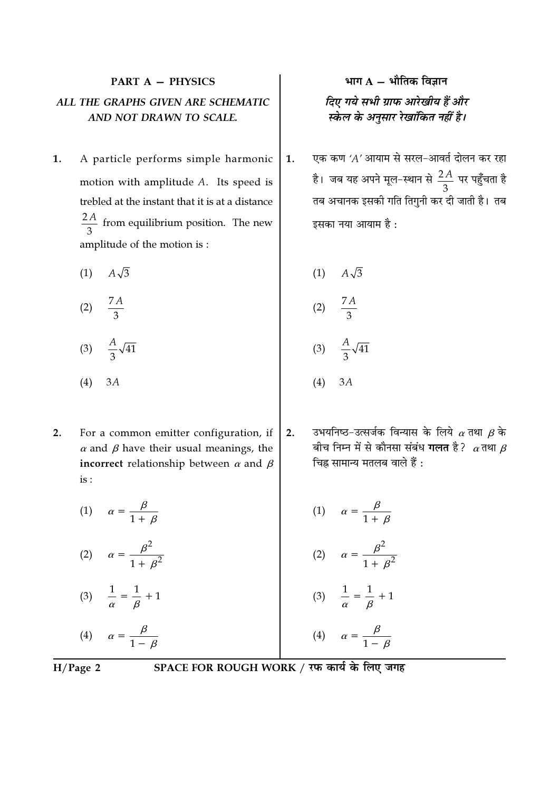# **PART A - PHYSICS** ALL THE GRAPHS GIVEN ARE SCHEMATIC AND NOT DRAWN TO SCALE.

- $1.$ A particle performs simple harmonic motion with amplitude A. Its speed is trebled at the instant that it is at a distance  $\frac{2A}{3}$  from equilibrium position. The new amplitude of the motion is :
	- $(1)$  $A\sqrt{3}$
	- $\frac{7A}{3}$  $(2)$
	- (3)  $\frac{A}{3}\sqrt{41}$
	- $(4)$  $3A$
- $2.$ For a common emitter configuration, if  $\alpha$  and  $\beta$  have their usual meanings, the incorrect relationship between  $\alpha$  and  $\beta$  $is:$
- भाग  $A \hat{A}$ मीतिक विज्ञान दिए गये सभी ग्राफ आरेखीय हैं और स्केल के अनुसार रेखांकित नहीं है।
- एक कण 'A' आयाम से सरल-आवर्त दोलन कर रहा  $1.$ है। जब यह अपने मूल-स्थान से  $\frac{2A}{3}$  पर पहुँचता है तब अचानक इसकी गति तिगुनी कर दी जाती है। तब इसका नया आयाम है:

 $A\sqrt{3}$  $(1)$  $(2)$  $\frac{A}{3}\sqrt{41}$  $(3)$  $(4)$  $3A$ 

उभयनिष्ठ-उत्सर्जक विन्यास के लिये  $\alpha$  तथा  $\beta$  के  $2.$ बीच निम्न में से कौनसा संबंध **गलत** है?  $\alpha$ तथा  $\beta$ चिह्न सामान्य मतलब वाले हैं :

(1) 
$$
\alpha = \frac{\beta}{1 + \beta}
$$
  
\n(2)  $\alpha = \frac{\beta^2}{1 + \beta^2}$   
\n(3)  $\frac{1}{\alpha} = \frac{1}{\beta} + 1$   
\n(4)  $\alpha = \frac{\beta}{1 - \beta}$   
\n(5)  $\alpha = \frac{\beta^2}{1 + \beta^2}$   
\n(6)  $\frac{1}{\alpha} = \frac{1}{\beta} + 1$   
\n(7)  $\alpha = \frac{\beta^2}{1 + \beta^2}$   
\n(8)  $\frac{1}{\alpha} = \frac{1}{\beta} + 1$   
\n(9)  $\alpha = \frac{\beta}{1 - \beta}$ 

 $H/Page$  2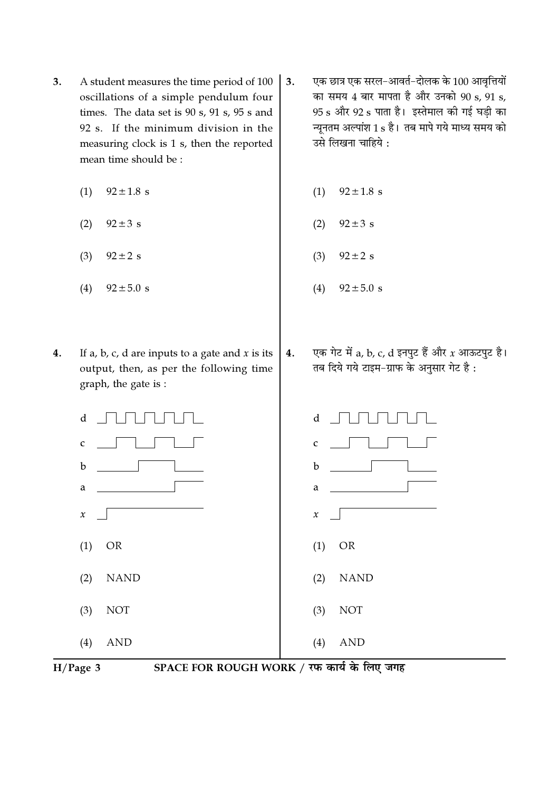- 3. A student measures the time period of 100 oscillations of a simple pendulum four times. The data set is 90 s, 91 s, 95 s and 92 s. If the minimum division in the measuring clock is 1 s, then the reported mean time should be:
	- $(1)$  $92 \pm 1.8$  s
	- $(2)$  $92 \pm 3$  s
	- $92 \pm 2$  s  $(3)$
	- $(4)$  $92 \pm 5.0 s$
- $4.$ If a, b, c, d are inputs to a gate and  $x$  is its output, then, as per the following time graph, the gate is :
- एक छात्र एक सरल-आवर्त-दोलक के 100 आवृत्तियों 3. का समय 4 बार मापता है और उनको 90 s, 91 s, 95 s और 92 s पाता है। इस्तेमाल की गई घडी का न्यूनतम अल्पांश 1 s है। तब मापे गये माध्य समय को उसे लिखना चाहिये :
	- $92 \pm 1.8$  s  $(1)$
	- $(2)$  $92 \pm 3$  s
	- $92 \pm 2$  s  $(3)$
	- $(4)$  $92 \pm 5.0 s$
- एक गेट में a, b, c, d इनपुट हैं और  $x$  आऊटपुट है।  $4.$ तब दिये गये टाइम-ग्राफ के अनुसार गेट है:



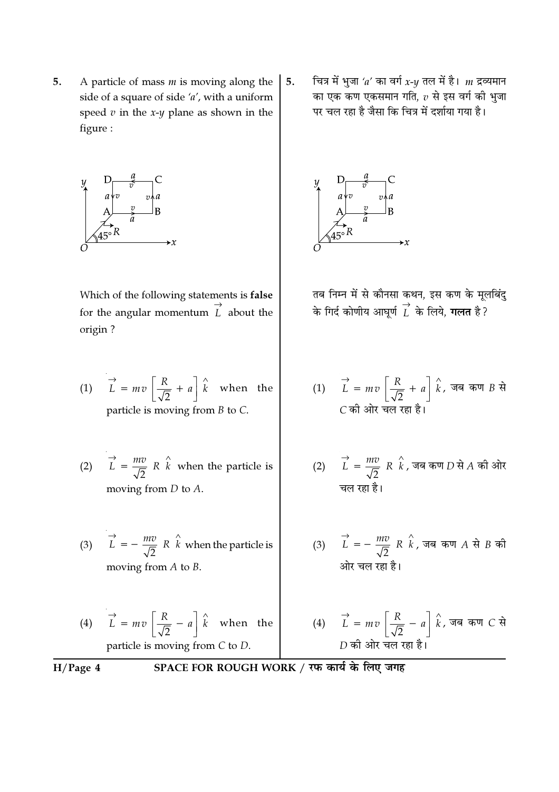5. A particle of mass  $m$  is moving along the side of a square of side  $'a'$ , with a uniform speed  $v$  in the  $x-y$  plane as shown in the figure:



Which of the following statements is false for the angular momentum  $\overrightarrow{L}$  about the origin?

(1) 
$$
\vec{L} = mv \left[ \frac{R}{\sqrt{2}} + a \right] \hat{k}
$$
 when the particle is moving from *B* to *C*.

(2) 
$$
\vec{L} = \frac{mv}{\sqrt{2}} R \hat{k}
$$
 when the particle is  
moving from *D* to *A*.

- (3)  $\vec{L} = -\frac{mv}{\sqrt{2}} R \hat{k}$  when the particle is moving from  $A$  to  $B$ .
- (4)  $\vec{L} = m v \left[ \frac{R}{\sqrt{2}} a \right] \hat{k}$  when the particle is moving from  $C$  to  $D$ .

चित्र में भुजा 'a' का वर्ग  $x$ - $y$  तल में है।  $m$  द्रव्यमान 5. का एक कण एकसमान गति,  $v$  से इस वर्ग की भुजा पर चल रहा है जैसा कि चित्र में दर्शाया गया है।



तब निम्न में से कौनसा कथन, इस कण के मूलबिंदु के गिर्द कोणीय आघूर्ण  $\overrightarrow{L}$  के लिये, **गलत** है ?

$$
(1) \quad \vec{L} = mv \left[ \frac{R}{\sqrt{2}} + a \right] \hat{k}, \text{ and } \vec{v} = \vec{E} \cdot \vec{E}
$$
\n
$$
C = \vec{v} \cdot \vec{E} \cdot \vec{E}
$$

- (2)  $\overrightarrow{L} = \frac{mv}{\sqrt{2}} R \overrightarrow{k}$ , जब कण *D* से *A* की ओर चल रहा है।
- (3)  $\overrightarrow{L} = -\frac{mv}{\sqrt{2}} R \hat{k}$ , जब कण A से B की ओर चल रहा है।
- (4)  $\vec{L} = mv \left[ \frac{R}{\sqrt{2}} a \right] \hat{k}$ , जब कण *C* से  $D$  की ओर चल रहा है।

 $H/Page 4$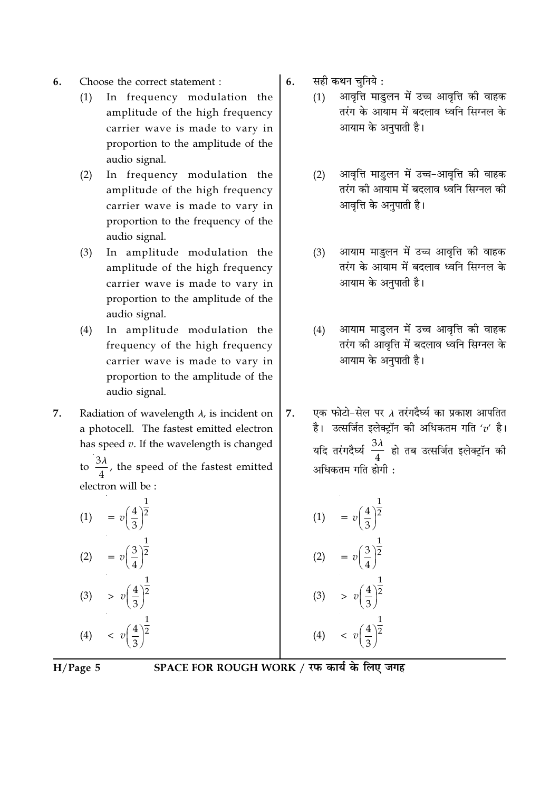- Choose the correct statement : 6.
	- In frequency modulation the  $(1)$ amplitude of the high frequency carrier wave is made to vary in proportion to the amplitude of the audio signal.
	- In frequency modulation the  $(2)$ amplitude of the high frequency carrier wave is made to vary in proportion to the frequency of the audio signal.
	- $(3)$ In amplitude modulation the amplitude of the high frequency carrier wave is made to vary in proportion to the amplitude of the audio signal.
	- In amplitude modulation the  $(4)$ frequency of the high frequency carrier wave is made to vary in proportion to the amplitude of the audio signal.
- 7. Radiation of wavelength  $\lambda$ , is incident on a photocell. The fastest emitted electron has speed  $v$ . If the wavelength is changed

to  $\frac{3\lambda}{4}$ , the speed of the fastest emitted electron will be :

(1)  $= v \left( \frac{4}{3} \right)^{\frac{1}{2}}$ (2)  $= v \left( \frac{3}{4} \right)^{\frac{1}{2}}$ (3)  $\Rightarrow v \left( \frac{4}{3} \right)^{\frac{1}{2}}$ (4)  $\langle v \frac{4}{3} \rangle^{\frac{1}{2}}$ 

सही कथन चनिये: 6.

- आवृत्ति माडुलन में उच्च आवृत्ति की वाहक  $(1)$ तरंग के आयाम में बदलाव ध्वनि सिग्नल के आयाम के अनुपाती है।
- आवृत्ति माडुलन में उच्च-आवृत्ति की वाहक  $(2)$ तरंग की आयाम में बदलाव ध्वनि सिग्नल की आवृत्ति के अनुपाती है।
- आयाम माडुलन में उच्च आवृत्ति की वाहक  $(3)$ तरंग के आयाम में बदलाव ध्वनि सिग्नल के आयाम के अनुपाती है।
- आयाम माडुलन में उच्च आवृत्ति की वाहक  $(4)$ तरंग की आवत्ति में बदलाव ध्वनि सिग्नल के आयाम के अनुपाती है।
- एक फोटो-सेल पर  $\lambda$  तरंगदैर्घ्य का प्रकाश आपतित 7. है। उत्सर्जित इलेक्ट्रॉन की अधिकतम गति ' $v'$  है। यदि तरंगदैर्घ्य $\frac{3\lambda}{4}$  हो तब उत्सर्जित इलेक्ट्रॉन की अधिकतम गति होगी :

(1) 
$$
= v \left(\frac{4}{3}\right)^{\frac{1}{2}}
$$
  
\n(2) 
$$
= v \left(\frac{3}{4}\right)^{\frac{1}{2}}
$$
  
\n(3) 
$$
> v \left(\frac{4}{3}\right)^{\frac{1}{2}}
$$
  
\n(4) 
$$
< v \left(\frac{4}{3}\right)^{\frac{1}{2}}
$$

 $H/Page 5$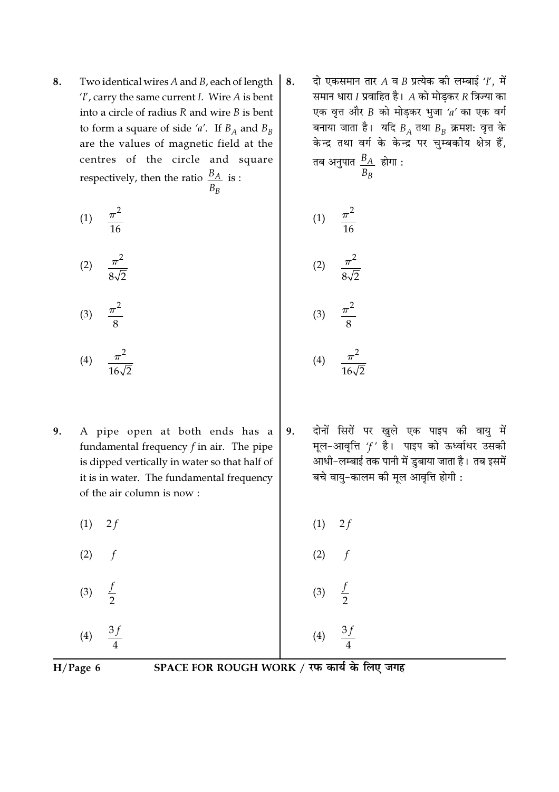8. Two identical wires A and B, each of length  $'l'$ , carry the same current *I*. Wire *A* is bent into a circle of radius  $R$  and wire  $B$  is bent to form a square of side 'a'. If  $B_A$  and  $B_B$ are the values of magnetic field at the centres of the circle and square respectively, then the ratio  $\frac{B_A}{B_B}$  is :

$$
(1) \quad \frac{\pi^2}{16}
$$

$$
(2) \quad \frac{\pi^2}{8\sqrt{2}}
$$

- $\frac{\pi^2}{8}$  $(3)$
- $(4)$
- 9. A pipe open at both ends has a fundamental frequency  $f$  in air. The pipe is dipped vertically in water so that half of it is in water. The fundamental frequency of the air column is now:
	- $(1)$  $2f$
	- $(2)$  $\mathbf f$
	- $(3)$  $(4)$

दो एकसमान तार A व B प्रत्येक की लम्बाई  $'l$ , में 8. समान धारा  $I$  प्रवाहित है।  $A$  को मोड़कर  $R$  त्रिज्या का एक वृत्त और  $B$  को मोड़कर भुजा 'a' का एक वर्ग बनाया जाता है। यदि  $B_A$  तथा  $B_B$  क्रमश: वृत्त के केन्द्र तथा वर्ग के केन्द्र पर चुम्बकीय क्षेत्र हैं, तब अनुपात $\frac{B_A}{B_B}$  होगा :

$$
(1) \quad \frac{\pi^2}{16}
$$
\n
$$
(2) \quad \frac{\pi^2}{8\sqrt{2}}
$$
\n
$$
(3) \quad \frac{\pi^2}{8}
$$

 $(4)$ 

- दोनों सिरों पर खुले एक पाइप की वायु में 9. मूल-आवृत्ति 'f' है। पाइप को ऊर्ध्वाधर उसकी .<br>आधी-लम्बाई तक पानी में डुबाया जाता है। तब इसमें बचे वायु-कालम की मूल आवृत्ति होगी :
- $2f$  $(1)$  $(2)$  $(3)$

 $H/Page 6$ 

SPACE FOR ROUGH WORK / रफ कार्य के लिए जगह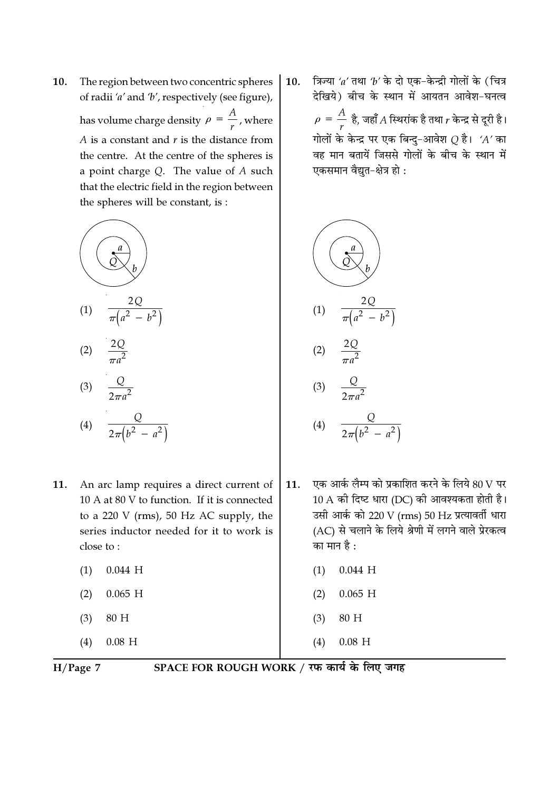The region between two concentric spheres 10. of radii 'a' and 'b', respectively (see figure), has volume charge density  $\rho = \frac{A}{A}$ , where  $A$  is a constant and  $r$  is the distance from the centre. At the centre of the spheres is a point charge  $Q$ . The value of  $A$  such that the electric field in the region between the spheres will be constant, is:



- An arc lamp requires a direct current of 11. 10 A at 80 V to function. If it is connected to a 220 V (rms), 50 Hz AC supply, the series inductor needed for it to work is close to:
	- $0.044$  H  $(1)$
	- $0.065$  H  $(2)$
	- $(3)$ 80 H

 $(4)$  $0.08$  H

त्रिज्या 'a' तथा 'b' के दो एक-केन्द्री गोलों के (चित्र 10. देखिये) बीच के स्थान में आयतन आवेश-घनत्व  $\rho = \frac{A}{r}$  है, जहाँ A स्थिरांक है तथा  $r$  केन्द्र से दूरी है। गोलों के केन्द्र पर एक बिन्दु-आवेश  $Q$  है। 'A' का वह मान बतायें जिससे गोलों के बीच के स्थान में एकसमान वैद्युत-क्षेत्र हो:



- एक आर्क लैम्प को प्रकाशित करने के लिये 80 V पर 11.  $10 \text{ A}$  की दिष्ट धारा (DC) की आवश्यकता होती है। उसी आर्क को 220 V (rms) 50 Hz प्रत्यावर्ती धारा (AC) से चलाने के लिये श्रेणी में लगने वाले प्रेरकत्व का मान है :
	- $0.044$  H  $(1)$
	- $0.065$  H  $(2)$
	- 80 H  $(3)$
	- $(4)$  $0.08$  H

 $H/Page$  7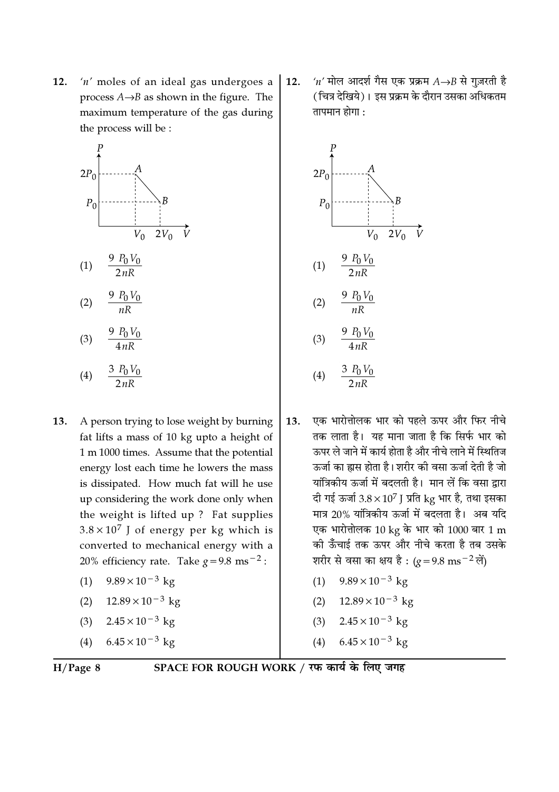$12.$  $'n'$  moles of an ideal gas undergoes a process  $A \rightarrow B$  as shown in the figure. The maximum temperature of the gas during the process will be :





 $\frac{9 P_0 V_0}{4 nR}$  $(3)$ 

$$
(4) \qquad \frac{3\ P_0 V_0}{2nR}
$$

- $13.$ A person trying to lose weight by burning fat lifts a mass of 10 kg upto a height of 1 m 1000 times. Assume that the potential energy lost each time he lowers the mass is dissipated. How much fat will he use up considering the work done only when the weight is lifted up? Fat supplies  $3.8 \times 10^7$  J of energy per kg which is converted to mechanical energy with a 20% efficiency rate. Take  $g = 9.8$  ms<sup>-2</sup>:
	- $9.89 \times 10^{-3}$  kg  $(1)$
	- $12.89 \times 10^{-3}$  kg  $(2)$
	- $(3)$  $2.45 \times 10^{-3}$  kg
	- $6.45 \times 10^{-3}$  kg  $(4)$

'n' मोल आदर्श गैस एक प्रक्रम  $A\rightarrow B$  से गुज़रती है  $12.$ (चित्र देखिये)। इस प्रक्रम के दौरान उसका अधिकतम तापमान होगा $\cdot$ 



- एक भारोत्तोलक भार को पहले ऊपर और फिर नीचे  $13.$ तक लाता है। यह माना जाता है कि सिर्फ भार को ऊपर ले जाने में कार्य होता है और नीचे लाने में स्थितिज ऊर्जा का ह्वास होता है। शरीर की वसा ऊर्जा देती है जो यांत्रिकीय ऊर्जा में बदलती है। मान लें कि वसा द्वारा दी गई ऊर्जा  $3.8 \times 10^7$  J प्रति kg भार है, तथा इसका मात्र 20% यांत्रिकीय ऊर्जा में बदलता है। अब यदि एक भारोत्तोलक 10 kg के भार को 1000 बार 1 m की ऊँँचाई तक ऊपर और नीचे करता है तब उसके शरीर से वसा का क्षय है:  $(g=9.8 \text{ ms}^{-2} \text{ m})$ 
	- $9.89 \times 10^{-3}$  kg  $(1)$
	- (2)  $12.89 \times 10^{-3}$  kg
	- $2.45 \times 10^{-3}$  kg  $(3)$
	- $6.45 \times 10^{-3}$  kg  $(4)$

$$
H/Page 8
$$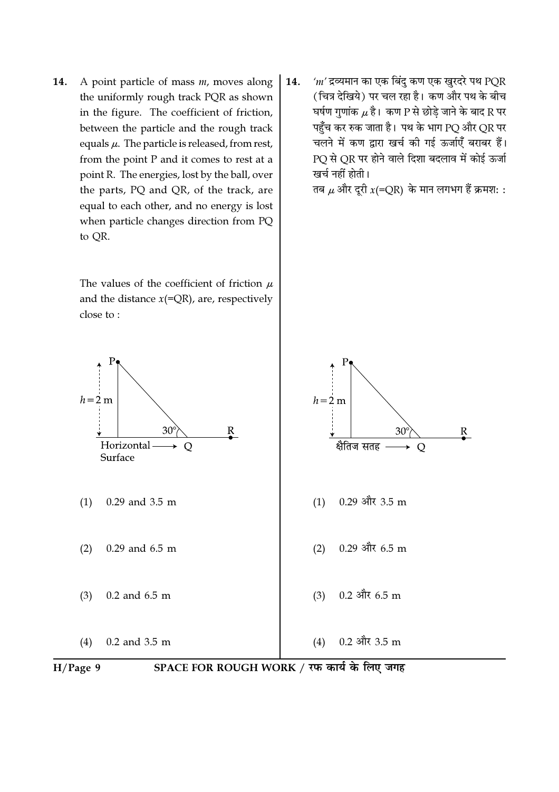A point particle of mass  $m$ , moves along 14. the uniformly rough track PQR as shown in the figure. The coefficient of friction, between the particle and the rough track equals  $\mu$ . The particle is released, from rest, from the point P and it comes to rest at a point R. The energies, lost by the ball, over the parts, PQ and QR, of the track, are equal to each other, and no energy is lost when particle changes direction from PQ to QR.

> The values of the coefficient of friction  $\mu$ and the distance  $x(=\overline{QR})$ , are, respectively close to:

 $m'$ द्रव्यमान का एक बिंदु कण एक खुरदरे पथ PQR 14. (चित्र देखिये) पर चल रहा है। कण और पथ के बीच घर्षण गुणांक  $\mu$  है। कण P से छोडे जाने के बाद R पर पहुँच कर रुक जाता है। पथ के भाग PQ और QR पर चलने में कण द्वारा खर्च की गई ऊर्जाएँ बराबर हैं। PQ से QR पर होने वाले दिशा बदलाव में कोई ऊर्जा खर्च नहीं होती।

तब  $\mu$  और दूरी  $x(=\overline{QR})$  के मान लगभग हैं क्रमशः :



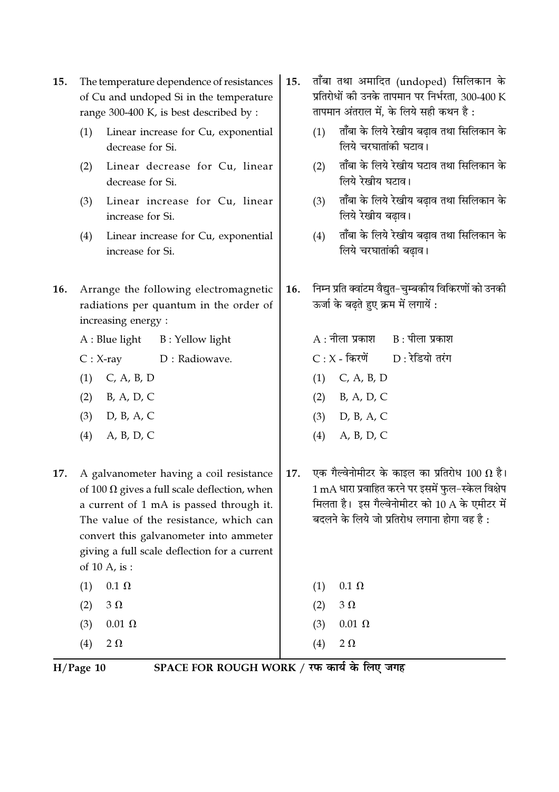- The temperature dependence of resistances 15. of Cu and undoped Si in the temperature range 300-400 K, is best described by :
	- Linear increase for Cu, exponential  $(1)$ decrease for Si.
	- Linear decrease for Cu, linear  $(2)$ decrease for Si.
	- Linear increase for Cu, linear  $(3)$ increase for Si.
	- Linear increase for Cu, exponential  $(4)$ increase for Si.
- $16.$ Arrange the following electromagnetic radiations per quantum in the order of increasing energy:
	- $A:Blue$  light B: Yellow light
	- $C: X-ray$ D: Radiowave.
	- $(1)$  C, A, B, D
	- B, A, D, C  $(2)$
	- $(3)$ D, B, A, C
	- $(4)$ A, B, D, C
- 17. A galvanometer having a coil resistance of 100  $\Omega$  gives a full scale deflection, when a current of 1 mA is passed through it. The value of the resistance, which can convert this galvanometer into ammeter giving a full scale deflection for a current of 10 A, is:
	- $0.1 \Omega$  $(1)$  $3\Omega$  $(2)$  $(3)$  $0.01 \Omega$
	- $(4)$  $2 \Omega$
- ताँबा तथा अमादित (undoped) सिलिकान के 15. प्रतिरोधों की उनके तापमान पर निर्भरता, 300-400 K तापमान अंतराल में. के लिये सही कथन है:
	- ताँबा के लिये रेखीय बढ़ाव तथा सिलिकान के  $(1)$ लिये चरघातांकी घटाव।
	- ताँबा के लिये रेखीय घटाव तथा सिलिकान के  $(2)$ लिये रेखीय घटाव।
	- ताँबा के लिये रेखीय बढाव तथा सिलिकान के  $(3)$ लिये रेखीय बढ़ाव।
	- ताँबा के लिये रेखीय बढाव तथा सिलिकान के  $(4)$ लिये चरघातांकी बढ़ाव।
- निम्न प्रति क्वांटम वैद्यत-चम्बकीय विकिरणों को उनकी 16. ऊर्जा के बढते हुए क्रम में लगायें :
	- $B:$  पीला प्रकाश  $A:$ नीला प्रकाश  $C: X$  - किरणें  $D: \overline{\mathcal{X}}$ डियो तरंग  $(1)$  C, A, B, D  $(2)$  B, A, D, C  $(3)$  D, B, A, C  $(4)$  A, B, D, C
- एक गैल्वेनोमीटर के काइल का प्रतिरोध 100  $\Omega$  है। 17. 1 mA धारा प्रवाहित करने पर इसमें फुल-स्केल विक्षेप मिलता है। इस गैल्वेनोमीटर को 10 A के एमीटर में बदलने के लिये जो प्रतिरोध लगाना होगा वह है :

| (1) | $0.1 \Omega$  |
|-----|---------------|
| (2) | $3\Omega$     |
| (3) | $0.01 \Omega$ |
| (4) | $2\Omega$     |

 $H/Page$  10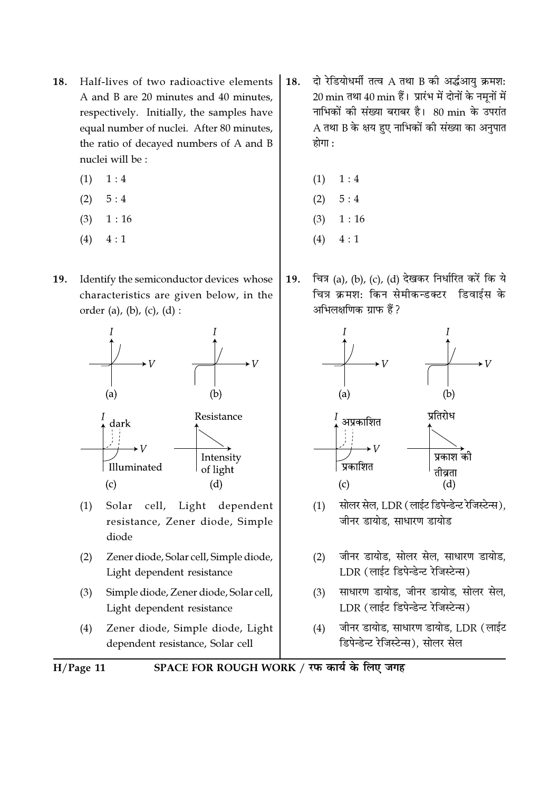- Half-lives of two radioactive elements 18. A and B are 20 minutes and 40 minutes, respectively. Initially, the samples have equal number of nuclei. After 80 minutes, the ratio of decayed numbers of A and B nuclei will be:
	- $(1)$  $1:4$
	- $5:4$  $(2)$
	- $(3)$  $1:16$
	- $4:1$  $(4)$
- Identify the semiconductor devices whose **19.** characteristics are given below, in the order (a), (b), (c), (d) :



- Solar cell, Light dependent  $(1)$ resistance, Zener diode, Simple diode
- $(2)$ Zener diode, Solar cell, Simple diode, Light dependent resistance
- $(3)$ Simple diode, Zener diode, Solar cell, Light dependent resistance
- $(4)$ Zener diode, Simple diode, Light dependent resistance, Solar cell
- दो रेडियोधर्मी तत्व A तथा B की अर्द्धआयु क्रमश: 18. 20 min तथा 40 min हैं। प्रारंभ में दोनों के नमूनों में नाभिकों की संख्या बराबर है। 80 min के उपरांत A तथा B के क्षय हुए नाभिकों की संख्या का अनुपात होगा :
	- $1:4$  $(1)$
	- $(2)$  $5:4$
	- $(3)$  $1:16$
	- $(4)$  $4:1$
- चित्र (a), (b), (c), (d) देखकर निर्धारित करें कि ये 19. चित्र क्रमश: किन सेमीकन्डक्टर डिवाईस के अभिलक्षणिक ग्राफ हैं?



- सोलर सेल, LDR (लाईट डिपेन्डेन्ट रेजिस्टेन्स),  $(1)$ जीनर डायोड. साधारण डायोड
- जीनर डायोड, सोलर सेल, साधारण डायोड,  $(2)$ LDR (लाईट डिपेन्डेन्ट रेजिस्टेन्स)
- साधारण डायोड, जीनर डायोड, सोलर सेल,  $(3)$ LDR (लाईट डिपेन्डेन्ट रेजिस्टेन्स)
- जीनर डायोड, साधारण डायोड, LDR (लाईट  $(4)$ डिपेन्डेन्ट रेजिस्टेन्स). सोलर सेल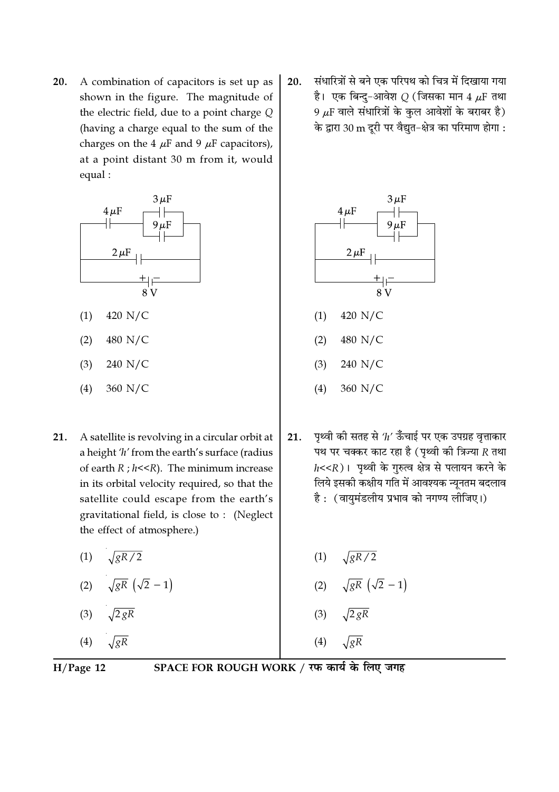A combination of capacitors is set up as 20. shown in the figure. The magnitude of the electric field, due to a point charge  $Q$ (having a charge equal to the sum of the charges on the 4  $\mu$ F and 9  $\mu$ F capacitors), at a point distant 30 m from it, would equal:



- 21. A satellite is revolving in a circular orbit at a height 'h' from the earth's surface (radius of earth  $R$ ;  $h < R$ ). The minimum increase in its orbital velocity required, so that the satellite could escape from the earth's gravitational field, is close to: (Neglect the effect of atmosphere.)
	- $\sqrt{gR/2}$  $(1)$
	- $\sqrt{gR}(\sqrt{2}-1)$  $(2)$
	- $\sqrt{2 gR}$  $(3)$
	- $\sqrt{gR}$  $(4)$

संधारित्रों से बने एक परिपथ को चित्र में दिखाया गया 20. है। एक बिन्दु-आवेश  $Q$  (जिसका मान 4  $\mu$ F तथा 9  $\mu$ F वाले संधारित्रों के कुल आवेशों के बराबर है) के द्वारा 30 m दूरी पर वैद्युत-क्षेत्र का परिमाण होगा :



पृथ्वी की सतह से ' $h$ ' ऊँचाई पर एक उपग्रह वृत्ताकार  $21.$ 

 $360$  N/C

 $(4)$ 

पथ पर चक्कर काट रहा है (पृथ्वी की त्रिज्या  $R$  तथा  $h$ <<R) । पृथ्वी के गुरुत्व क्षेत्र से पलायन करने के लिये इसकी कक्षीय गति में आवश्यक न्यूनतम बदलाव है: (वायुमंडलीय प्रभाव को नगण्य लीजिए।)

(1) 
$$
\sqrt{gR/2}
$$
  
\n(2)  $\sqrt{gR} (\sqrt{2} - 1)$   
\n(3)  $\sqrt{2 gR}$   
\n(4)  $\sqrt{gR}$ 

 $H/Page$  12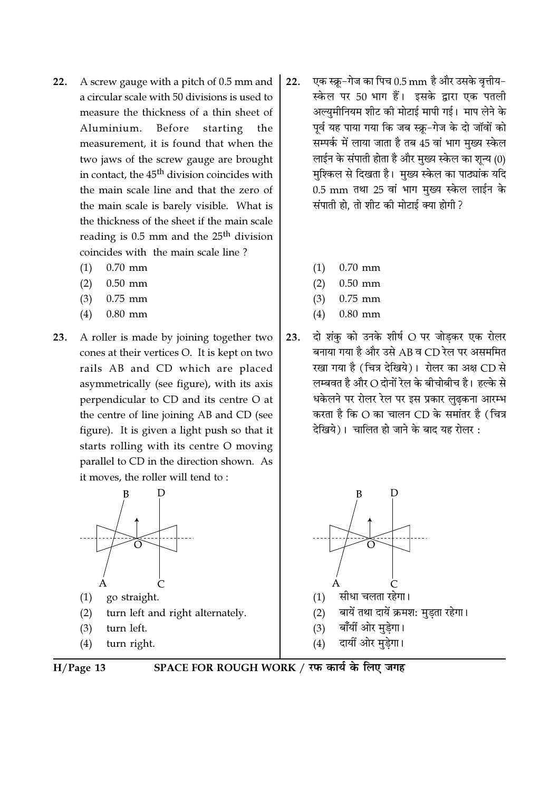- A screw gauge with a pitch of 0.5 mm and  $22.$ a circular scale with 50 divisions is used to measure the thickness of a thin sheet of Aluminium. Before starting the measurement, it is found that when the two jaws of the screw gauge are brought in contact, the 45<sup>th</sup> division coincides with the main scale line and that the zero of the main scale is barely visible. What is the thickness of the sheet if the main scale reading is 0.5 mm and the 25<sup>th</sup> division coincides with the main scale line?
	- $(1)$  $0.70$  mm
	- $0.50$  mm  $(2)$
	- $0.75$  mm  $(3)$
	- $(4)$  $0.80$  mm
- A roller is made by joining together two  $23.$ cones at their vertices O. It is kept on two rails AB and CD which are placed asymmetrically (see figure), with its axis perpendicular to CD and its centre O at the centre of line joining AB and CD (see figure). It is given a light push so that it starts rolling with its centre O moving parallel to CD in the direction shown. As it moves, the roller will tend to:



- go straight.  $(1)$
- turn left and right alternately.  $(2)$
- $(3)$ turn left.
- $(4)$ turn right.



- एक स्क्रू-गेज का पिच 0.5 mm है और उसके वृत्तीय- $22.$ स्केल पर 50 भाग हैं। इसके द्वारा एक पतली अल्युमीनियम शीट की मोटाई मापी गई। माप लेने के पूर्व यह पाया गया कि जब स्क्रू-गेज के दो जॉवों को सम्पर्क में लाया जाता है तब 45 वां भाग मुख्य स्केल लाईन के संपाती होता है और मुख्य स्केल का शून्य (0) मुश्किल से दिखता है। मुख्य स्केल का पाठ्यांक यदि 0.5 mm तथा 25 वां भाग मुख्य स्केल लाईन के संपाती हो. तो शीट की मोटाई क्या होगी ?
	- $(1)$  $0.70$  mm
	- $0.50$  mm  $(2)$
	- $0.75$  mm  $(3)$
	- $0.80$  mm  $(4)$
- दो शंक को उनके शीर्ष O पर जोडकर एक रोलर  $23.$ बनाया गया है और उसे AB व CD रेल पर असममित रखा गया है (चित्र देखिये)। रोलर का अक्ष CD से लम्बवत है और O दोनों रेल के बीचोबीच है। हल्के से धकेलने पर रोलर रेल पर इस प्रकार लुढकना आरम्भ करता है कि O का चालन CD के समांतर है (चित्र देखिये)। चालित हो जाने के बाद यह रोलर  $\cdot$



- सीधा चलता रहेगा।  $(1)$
- बायें तथा दायें क्रमश: मुडता रहेगा।  $(2)$
- बाँयीं ओर मुड़ेगा।  $(3)$
- दायीं ओर मुडेगा।  $(4)$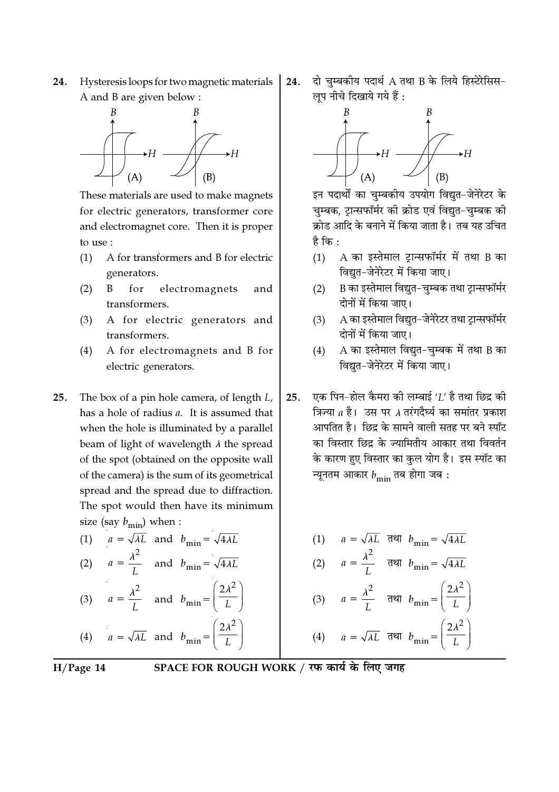24. Hysteresis loops for two magnetic materials A and B are given below :



These materials are used to make magnets for electric generators, transformer core and electromagnet core. Then it is proper to use :

- $(1)$ A for transformers and B for electric generators.
- $\overline{B}$  $for$ electromagnets  $(2)$ and transformers.
- A for electric generators and  $(3)$ transformers.
- A for electromagnets and B for  $(4)$ electric generators.
- 25. The box of a pin hole camera, of length L, has a hole of radius a. It is assumed that when the hole is illuminated by a parallel beam of light of wavelength  $\lambda$  the spread of the spot (obtained on the opposite wall of the camera) is the sum of its geometrical spread and the spread due to diffraction. The spot would then have its minimum size (say  $b_{\text{min}}$ ) when :
	- (1)  $a = \sqrt{\lambda L}$  and  $b_{\text{min}} = \sqrt{4\lambda L}$ (2)  $a = \frac{\lambda^2}{I}$  and  $b_{\min} = \sqrt{4\lambda L}$ (3)  $a = \frac{\lambda^2}{I}$  and  $b_{\text{min}} = \left(\frac{2\lambda^2}{L}\right)$

(4) 
$$
a = \sqrt{\lambda L}
$$
 and  $b_{\min} = \left(\frac{2\lambda}{L}\right)^2$ 

 $H/Page$  14

SPACE FOR ROUGH WORK / रफ कार्य के लिए जगह

दो चुम्बकीय पदार्थ A तथा B के लिये हिस्टेरेसिस-24. लूप नीचे दिखाये गये हैं :



इन पदार्थों का चुम्बकीय उपयोग विद्युत-जेनेरेटर के चुम्बक, ट्रान्सफॉर्मर की क्रोड एवं विद्युत-चुम्बक की क्रोड आदि के बनाने में किया जाता है। तब यह उचित है कि :

- $(1)$ A का इस्तेमाल ट्रान्सफॉर्मर में तथा B का विद्युत–जेनेरेटर में किया जाए।
- B का इस्तेमाल विद्युत-चुम्बक तथा ट्रान्सफॉर्मर  $(2)$ दोनों में किया जाए।
- A का इस्तेमाल विद्यत-जेनेरेटर तथा टान्सफॉर्मर  $(3)$ दोनों में किया जाए।
- $(4)$ A का इस्तेमाल विद्यत-चम्बक में तथा B का विद्यत-जेनेरेटर में किया जाए।
- एक पिन-होल कैमरा की लम्बाई  $^{\prime}$ l' है तथा छिद्र की  $25.$ त्रिज्या a है। उस पर A तरंगदैर्घ्य का समांतर प्रकाश आपतित है। छिद्र के सामने वाली सतह पर बने स्पॉट का विस्तार छिद्र के ज्यामितीय आकार तथा विवर्तन के कारण हुए विस्तार का कुल योग है। इस स्पॉट का न्यूनतम आकार  $b_{\rm min}$  तब होगा जब :

(1) 
$$
a = \sqrt{\lambda L}
$$
  $\overline{d} = \sqrt{4\lambda L}$   
\n(2)  $a = \frac{\lambda^2}{L}$   $\overline{d} = \frac{\overline{d}}{\lambda L}$   
\n(3)  $a = \frac{\lambda^2}{L}$   $\overline{d} = \frac{\overline{d}}{\lambda L}$   
\n(4)  $a = \sqrt{\lambda L}$   $\overline{d} = \frac{\overline{d}}{\lambda L}$   
\n(5)  $\overline{d} = \frac{\lambda^2}{L}$   $\overline{d} = \frac{\overline{d}}{\lambda L}$   
\n(6)  $\overline{d} = \sqrt{\lambda L}$   $\overline{d} = \frac{\overline{d}}{\lambda L}$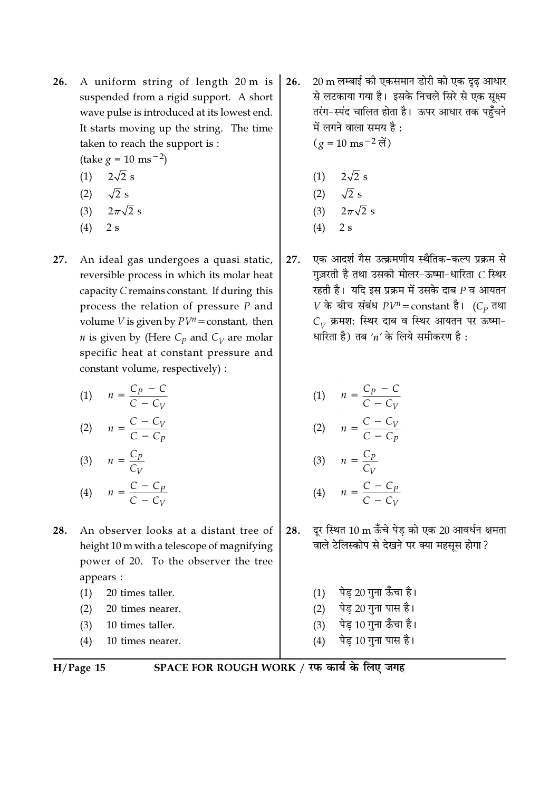- A uniform string of length 20 m is 26. suspended from a rigid support. A short wave pulse is introduced at its lowest end. It starts moving up the string. The time taken to reach the support is :
	- $(\text{take } g = 10 \text{ ms}^{-2})$
	- (1)  $2\sqrt{2}$  s  $(2)$  $\sqrt{2}$

$$
\begin{array}{cc}\n(2) & \sqrt{2} s \\
\end{array}
$$

$$
(3) \quad 2\pi\sqrt{2}:
$$

- $(4)$  2 s
- 27. An ideal gas undergoes a quasi static, reversible process in which its molar heat capacity C remains constant. If during this process the relation of pressure  $P$  and volume *V* is given by  $PV^n$  = constant, then *n* is given by (Here  $C_p$  and  $C_V$  are molar specific heat at constant pressure and constant volume, respectively) :

| (1) | $\frac{C_P - C}{C - C_V}$<br>$\overline{n}$   |
|-----|-----------------------------------------------|
| (2) | $\frac{C - C_V}{C - C_P}$<br>$\boldsymbol{n}$ |
| (3) | $=\frac{C_P}{\sqrt{2}}$<br>$\overline{n}$     |

$$
(4) \qquad n = \frac{C - C_p}{C - C_V}
$$

- 28. An observer looks at a distant tree of height 10 m with a telescope of magnifying power of 20. To the observer the tree appears :
	- $(1)$ 20 times taller.
	- $(2)$ 20 times nearer.
	- $(3)$ 10 times taller.
	- $(4)$ 10 times nearer.
- $H/Page$  15

SPACE FOR ROUGH WORK / रफ कार्य के लिए जगह

20 m लम्बाई की एकसमान डोरी को एक दृढ़ आधार 26. से लटकाया गया है। इसके निचले सिरे से एक सूक्ष्म तरंग-स्पंद चालित होता है। ऊपर आधार तक पहुँचने में लगने वाला समय है:  $(g = 10 \text{ ms}^{-2} \text{ m})$ 

(1) 
$$
2\sqrt{2}
$$
 s  
\n(2)  $\sqrt{2}$  s  
\n(3)  $2\pi\sqrt{2}$  s

- $2s$  $(4)$
- एक आदर्श गैस उत्क्रमणीय स्थैतिक-कल्प प्रक्रम से 27. गज़रती है तथा उसकी मोलर-ऊष्मा-धारिता  $C$  स्थिर रहती है। यदि इस प्रक्रम में उसके दाब  $\it P$  व आयतन  $V$  के बीच संबंध  $PV^n$  = constant है। (C<sub>p</sub> तथा  $C_V$  क्रमश: स्थिर दाब व स्थिर आयतन पर ऊष्मा-धारिता है) तब 'n' के लिये समीकरण है:

(1) 
$$
n = \frac{C_P - C}{C - C_V}
$$
  
(2) 
$$
n = \frac{C - C_V}{C - C_P}
$$
  
(3) 
$$
n = \frac{C_P}{C_V}
$$
  
(4) 
$$
n = \frac{C - C_P}{C - C_V}
$$

- 28. दूर स्थित 10 m ऊँचे पेड को एक 20 आवर्धन क्षमता वाले टेलिस्कोप से देखने पर क्या महसूस होगा?
	- पेड़ 20 गुना ऊँचा है।  $(1)$ पेड 20 गुना पास है।  $(2)$ पेड 10 गुना ऊँचा है।  $(3)$ पेड़ 10 गुना पास है।  $(4)$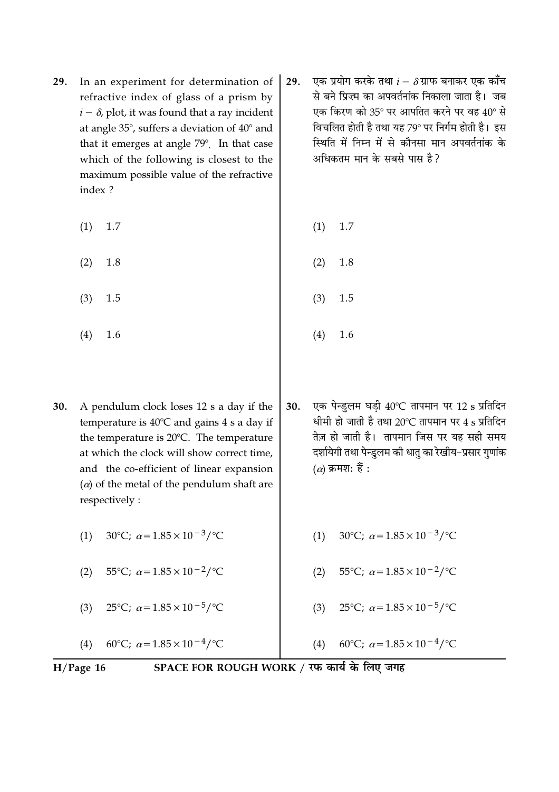- In an experiment for determination of 29. refractive index of glass of a prism by  $i - \delta$ , plot, it was found that a ray incident at angle 35°, suffers a deviation of 40° and that it emerges at angle 79°. In that case which of the following is closest to the maximum possible value of the refractive index?
	- $(1)$ 1.7  $(1)$ 1.7
	- $(2)$ 1.8
	- $(3)$ 1.5
	- $(4)$ 1.6
- 30. A pendulum clock loses 12 s a day if the temperature is 40℃ and gains 4 s a day if the temperature is 20°C. The temperature at which the clock will show correct time, and the co-efficient of linear expansion  $(\alpha)$  of the metal of the pendulum shaft are respectively:

30°C;  $\alpha = 1.85 \times 10^{-3}$ /°C  $(1)$ 

 $(2)$ 55°C;  $\alpha = 1.85 \times 10^{-2}$ /°C

 $(3)$ 25°C;  $\alpha$  = 1.85 × 10<sup>-5</sup>/°C

60°C;  $\alpha$  = 1.85 × 10<sup>-4</sup>/°C  $(4)$ 

- एक प्रयोग करके तथा  $i-\delta$ ग्राफ बनाकर एक काँच 29. से बने प्रिज्म का अपवर्तनांक निकाला जाता है। जब एक किरण को 35° पर आपतित करने पर वह 40° से विचलित होती है तथा यह 79° पर निर्गम होती है। इस स्थिति में निम्न में से कौनसा मान अपवर्तनांक के अधिकतम मान के सबसे पास है?
	-
	- $(2)$ 1.8
	- $(3)$ 1.5
	- $(4)$ 1.6
- एक पेन्डुलम घडी 40°C तापमान पर 12 s प्रतिदिन 30. धीमी हो जाती है तथा 20°C तापमान पर 4 s प्रतिदिन तेज़ हो जाती है। तापमान जिस पर यह सही समय दर्शायेगी तथा पेन्डुलम की धातु का रेखीय–प्रसार गुणांक (a) क्रमश: हैं :
	- 30°C;  $\alpha = 1.85 \times 10^{-3}$ /°C  $(1)$
	- 55°C;  $\alpha = 1.85 \times 10^{-2}$ /°C  $(2)$
	- $(3)$ 25°C;  $\alpha = 1.85 \times 10^{-5}$ /°C
	- 60°C;  $\alpha$  = 1.85 × 10<sup>-4</sup>/°C  $(4)$

 $H/Page$  16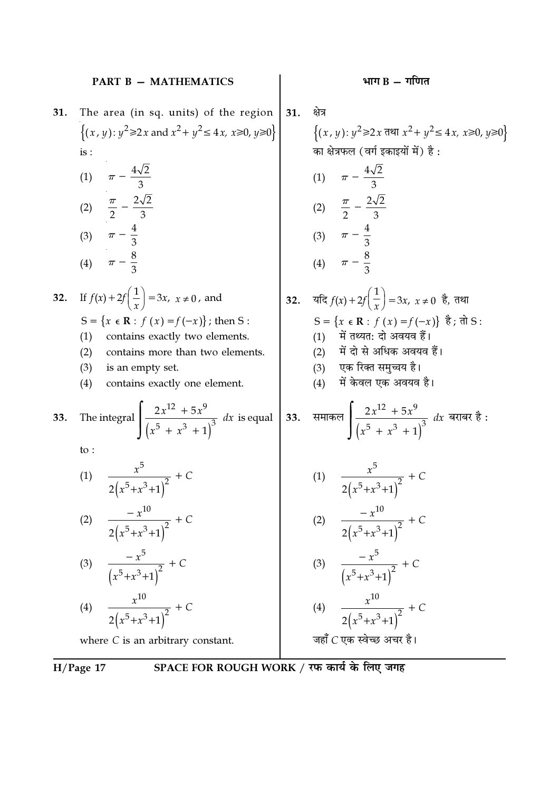|     | <b>PART B - MATHEMATICS</b>                                                                                                                                                                                                                                                                                                                                                                                                    |     | भाग $B - T$ गणित                                                                                                                                                                                                                                                 |
|-----|--------------------------------------------------------------------------------------------------------------------------------------------------------------------------------------------------------------------------------------------------------------------------------------------------------------------------------------------------------------------------------------------------------------------------------|-----|------------------------------------------------------------------------------------------------------------------------------------------------------------------------------------------------------------------------------------------------------------------|
| 31. | The area (in sq. units) of the region<br>$\{(x, y): y^2 \ge 2x \text{ and } x^2 + y^2 \le 4x, x \ge 0, y \ge 0\}$<br>is:<br>(1) $\pi - \frac{4\sqrt{2}}{3}$<br>(2) $\frac{\pi}{2} - \frac{2\sqrt{2}}{3}$<br>(3) $\pi - \frac{4}{3}$<br>(4) $\pi - \frac{8}{2}$                                                                                                                                                                 | 31. | क्षेत्र<br>{ $(x, y): y^2 \ge 2x$ तथा $x^2 + y^2 \le 4x$ , $x \ge 0$ , $y \ge 0$ }<br>का क्षेत्रफल (वर्ग इकाइयों में) है :<br>(1) $\pi - \frac{4\sqrt{2}}{3}$<br>(2) $\frac{\pi}{2} - \frac{2\sqrt{2}}{3}$<br>(3) $\pi - \frac{4}{3}$<br>(4) $\pi - \frac{8}{3}$ |
| 32. | If $f(x) + 2f\left(\frac{1}{x}\right) = 3x, x \ne 0$ , and<br>S = { $x \in \mathbb{R}$ : $f(x) = f(-x)$ }; then S :<br>(1)<br>contains exactly two elements.<br>(2)<br>contains more than two elements.<br>(3)<br>is an empty set.<br>(4)<br>contains exactly one element.                                                                                                                                                     |     | <b>32.</b> यदि $f(x) + 2f\left(\frac{1}{x}\right) = 3x$ , $x \ne 0$ है, तथा<br>S = { $x \in \mathbb{R}$ : $f(x) = f(-x)$ } है; तो S :<br>(1) में तथ्यत: दो अवयव हैं।<br>(2) में दो से अधिक अवयव हैं।<br>(3) एक रिक्त समुच्चय है।<br>(4) में केवल एक अवयव है।     |
| 33. | The integral $\left  \frac{2x^{12} + 5x^9}{(x^5 + x^3 + 1)^3} \right  dx$ is equal 33. समाकल $\left  \frac{2x^{12} + 5x^9}{(x^5 + x^3 + 1)^3} \right  dx$ बराबर है:<br>to:<br>$\frac{x^3}{2(x^5+x^3+1)^2}+C$<br>(1)<br>$-\sqrt{x}$ $\sqrt{x}$ $\sqrt{1}$<br>(2) $\frac{-x^{10}}{2(x^5+x^3+1)^2}$ + C<br>(3) $\frac{-x^5}{(x^5+x^3+1)^2}$ + C<br>(4) $\frac{x^{10}}{2(x^5+x^3+1)^2}$ + C<br>where $C$ is an arbitrary constant. |     | (1) $\frac{x^3}{2(1.5+x^3+1)^2} + C$<br>$-1$ $\alpha$ $\alpha$ $\alpha$<br>(2) $\frac{-x^{10}}{2(x^5+x^3+1)^2}$ + C<br>(3) $\frac{-x^3}{(x^5+x^3+1)^2}$ + C<br>(4) $\frac{x^{10}}{2(x^5+x^3+1)^2}$ + C<br>जहाँ C एक स्वेच्छ अचर है।                              |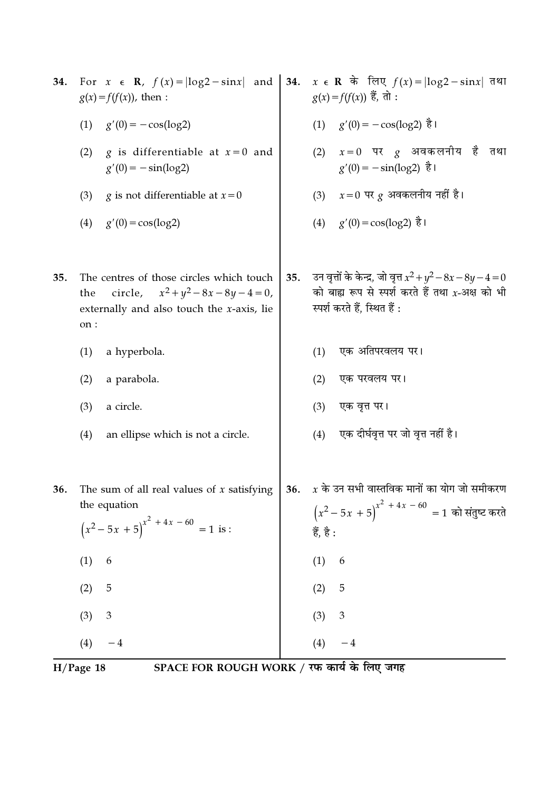| 34. | For $x \in \mathbb{R}$ , $f(x) =  \log 2 - \sin x $ and<br>$g(x) = f(f(x))$ , then :                                                               | 34. | $x \in \mathbb{R}$ के लिए $f(x) =  \log 2 - \sin x $ तथा<br>$g(x) = f(f(x))$ हैं, तो :                                                              |  |  |
|-----|----------------------------------------------------------------------------------------------------------------------------------------------------|-----|-----------------------------------------------------------------------------------------------------------------------------------------------------|--|--|
|     | (1)<br>$g'(0) = -\cos(\log 2)$                                                                                                                     |     | $(1)$ $g'(0) = -\cos(\log 2)$ है।                                                                                                                   |  |  |
|     | g is differentiable at $x=0$ and<br>(2)<br>$g'(0) = -\sin(\log 2)$                                                                                 |     | $x=0$ पर $g$ अवकलनीय है तथा<br>(2)<br>$g'(0) = -\sin(\log 2)$ है।                                                                                   |  |  |
|     | (3)<br><i>g</i> is not differentiable at $x=0$                                                                                                     |     | $x=0$ पर $g$ अवकलनीय नहीं है।<br>(3)                                                                                                                |  |  |
|     | $g'(0) = \cos(\log 2)$<br>(4)                                                                                                                      |     | (4) $g'(0) = \cos(\log 2)$ है।                                                                                                                      |  |  |
| 35. | The centres of those circles which touch<br>circle, $x^2 + y^2 - 8x - 8y - 4 = 0$ ,<br>the<br>externally and also touch the $x$ -axis, lie<br>on : | 35. | उन वृत्तों के केन्द्र, जो वृत्त $x^2 + y^2 - 8x - 8y - 4 = 0$<br>को बाह्य रूप से स्पर्श करते हैं तथा $x$ -अक्ष को भी<br>स्पर्श करते हैं, स्थित हैं: |  |  |
|     | (1)<br>a hyperbola.                                                                                                                                |     | एक अतिपरवलय पर।<br>(1)                                                                                                                              |  |  |
|     | (2)<br>a parabola.                                                                                                                                 |     | (2)<br>एक परवलय पर।                                                                                                                                 |  |  |
|     | (3)<br>a circle.                                                                                                                                   |     | एक वृत्त पर।<br>(3)                                                                                                                                 |  |  |
|     | (4)<br>an ellipse which is not a circle.                                                                                                           |     | एक दीर्घवृत्त पर जो वृत्त नहीं है।<br>(4)                                                                                                           |  |  |
| 36. | The sum of all real values of $x$ satisfying<br>the equation<br>$(x^2-5x+5)^{x^2+4x-60} = 1$ is :                                                  | 36. | $\overline{x}$ के उन सभी वास्तविक मानों का योग जो समीकरण<br>$(x^2-5x+5)^{x^2+4x-60}=1$ को संतुष्ट करते<br>हैं, है :                                 |  |  |
|     | (1)<br>6                                                                                                                                           |     | (1)<br>6                                                                                                                                            |  |  |
|     | 5<br>(2)                                                                                                                                           |     | (2)<br>5                                                                                                                                            |  |  |
|     | (3)<br>$\mathfrak{Z}$                                                                                                                              |     | 3<br>(3)                                                                                                                                            |  |  |
|     | (4)<br>$-4$                                                                                                                                        |     | (4)<br>$-4$                                                                                                                                         |  |  |
|     | SPACE FOR ROUGH WORK / रफ कार्य के लिए जगह<br>$H/Page$ 18                                                                                          |     |                                                                                                                                                     |  |  |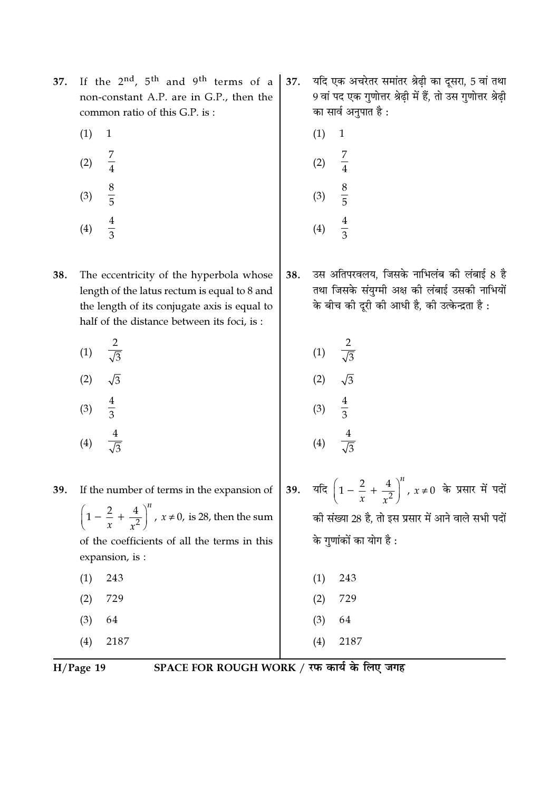- If the  $2^{nd}$ ,  $5^{th}$  and  $9^{th}$  terms of a 37. non-constant A.P. are in G.P., then the common ratio of this G.P. is:
	- $(1)$  $\mathbf{1}$
	- $(2)$
	- $\frac{8}{5}$  $(3)$
	- $(4)$
- 38. The eccentricity of the hyperbola whose length of the latus rectum is equal to 8 and the length of its conjugate axis is equal to half of the distance between its foci, is:
	- $\frac{2}{\sqrt{3}}$  $(1)$  $\sqrt{3}$  $(2)$  $(3)$

expansion, is :

243

729

64

2187

 $(4)$ 

If the number of terms in the expansion of

 $\left(1-\frac{2}{x}+\frac{4}{x^2}\right)^n$ ,  $x\neq 0$ , is 28, then the sum

of the coefficients of all the terms in this

- यदि एक अचरेतर समांतर श्रेढ़ी का दूसरा, 5 वां तथा 37. 9 वां पद एक गुणोत्तर श्रेढ़ी में हैं, तो उस गुणोत्तर श्रेढ़ी का सार्व अनुपात है :
	- $(1)$  $\mathbf{1}$  $(2)$  $\frac{8}{5}$  $(3)$

 $(4)$ 

- उस अतिपरवलय. जिसके नाभिलंब की लंबाई 8 है 38. तथा जिसके संयुग्मी अक्ष की लंबाई उसकी नाभियों के बीच की दूरी की आधी है, की उत्केन्द्रता है :
	- $(1)$  $(2)$  $\frac{4}{3}$  $(3)$  $(4)$
- यदि  $\left(1-\frac{2}{x}+\frac{4}{r^2}\right)^n$ ,  $x\neq 0$  के प्रसार में पदों 39. की संख्या 28 है, तो इस प्रसार में आने वाले सभी पदों के गणांकों का योग है :
- $(1)$ 243 729  $(2)$ 
	- $(3)$ 64
- $(4)$ 2187

 $H/Page$  19

 $(1)$ 

 $(2)$ 

 $(3)$ 

 $(4)$ 

39.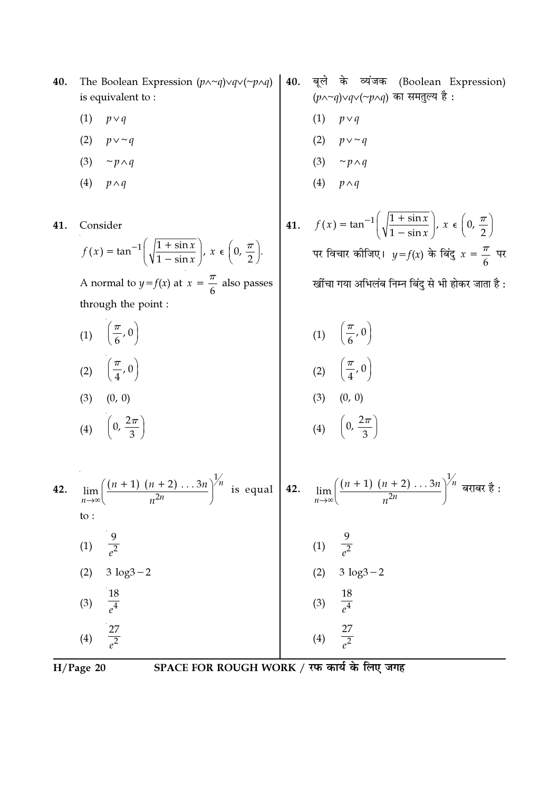- The Boolean Expression  $(p \land \neg q) \lor q \lor (\neg p \land q)$ 40. is equivalent to:
	- $(1)$   $p \vee q$
	- $(2)$  $p \vee \sim q$
	- $(3)$  $\sim p \wedge q$
	- (4)  $p \wedge q$

41. Consider

$$
f(x) = \tan^{-1}\left(\sqrt{\frac{1+\sin x}{1-\sin x}}\right), \ x \in \left(0, \frac{\pi}{2}\right).
$$

A normal to  $y = f(x)$  at  $x = \frac{\pi}{6}$  also passes through the point :

(1) 
$$
\left(\frac{\pi}{6}, 0\right)
$$
  
\n(2)  $\left(\frac{\pi}{4}, 0\right)$   
\n(3)  $(0, 0)$   
\n(4)  $\left(0, \frac{2\pi}{3}\right)$   
\n(5)  $\left(1\right), \left(\frac{\pi}{6}, 0\right)$   
\n(6)  $\left(2\right), \left(\frac{\pi}{4}, 0\right)$   
\n(7)  $\left(1\right), \left(\frac{\pi}{6}, 0\right)$   
\n(8)  $\left(0, 0\right)$   
\n(9)  $\left(0, \frac{2\pi}{3}\right)$ 

42. 
$$
\lim_{n \to \infty} \left( \frac{(n+1)(n+2) \dots 3n}{n^{2n}} \right)^{1/n}
$$
 is equal to:  
\n(1) 
$$
\frac{9}{e^2}
$$
  
\n(2) 
$$
3 \log 3 - 2
$$
  
\n(3) 
$$
\frac{18}{e^4}
$$
  
\n(4) 
$$
\frac{27}{e^2}
$$
  
\n(5) 
$$
\frac{18}{e^4}
$$
  
\n(6) 
$$
\frac{18}{e^2}
$$
  
\n(7) 
$$
\frac{9}{e^2}
$$
  
\n(8) 
$$
\frac{18}{e^4}
$$
  
\n(9) 
$$
\frac{18}{e^4}
$$
  
\n(1) 
$$
\frac{9}{e^2}
$$
  
\n(2) 
$$
3 \log 3 - 2
$$
  
\n(3) 
$$
\frac{18}{e^4}
$$
  
\n(4) 
$$
\frac{27}{e^2}
$$

$$
H/Page 20
$$

- 40. बूले के व्यंजक (Boolean Expression)  $(p \wedge \neg q) \vee q \vee (\neg p \wedge q)$  का समतुल्य है:
	- $(1)$  $p \vee q$
	- (2)  $p \vee \sim q$
	- (3)  $\sim p \wedge q$
	- (4)  $p \wedge q$
- **41.**  $f(x) = \tan^{-1}\left(\sqrt{\frac{1 + \sin x}{1 \sin x}}\right), x \in \left(0, \frac{\pi}{2}\right)$ पर विचार कोजिए।  $y = f(x)$  के बिंदु  $x = \frac{\pi}{6}$  पर खींचा गया अभिलंब निम्न बिंदु से भी होकर जाता है :

(1) 
$$
\left(\frac{\pi}{6}, 0\right)
$$
  
\n(2)  $\left(\frac{\pi}{4}, 0\right)$   
\n(3)  $(0, 0)$   
\n(4)  $\left(0, \frac{2\pi}{3}\right)$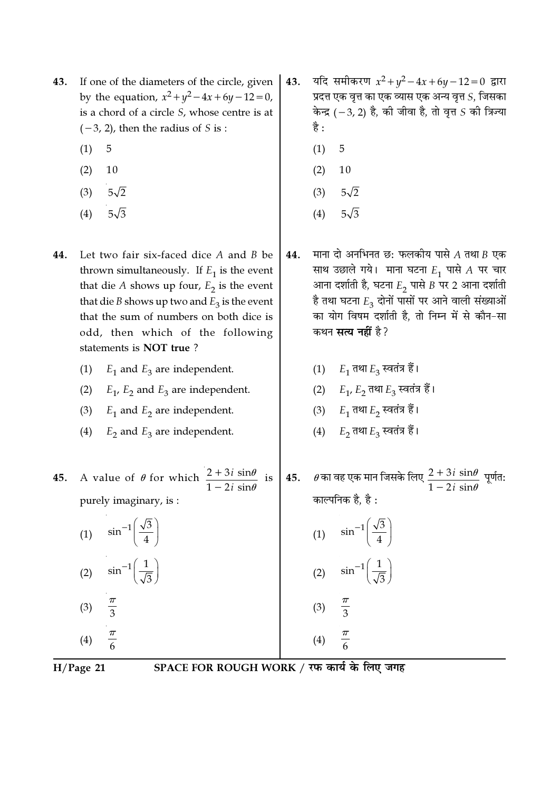- If one of the diameters of the circle, given 43. by the equation,  $x^2 + y^2 - 4x + 6y - 12 = 0$ , is a chord of a circle S, whose centre is at  $(-3, 2)$ , then the radius of S is :
	- $(1)$ 5
	- $(2)$ 10
	- $(3)$  $5\sqrt{2}$
	- $5\sqrt{3}$  $(4)$
- 44. Let two fair six-faced dice A and B be thrown simultaneously. If  $E_1$  is the event that die A shows up four,  $E_2$  is the event that die *B* shows up two and  $E_3$  is the event that the sum of numbers on both dice is odd, then which of the following statements is NOT true?
	- (1)  $E_1$  and  $E_3$  are independent.
	- (2)  $E_1$ ,  $E_2$  and  $E_3$  are independent.
	- (3)  $E_1$  and  $E_2$  are independent.
	- (4)  $E_2$  and  $E_3$  are independent.

A value of  $\theta$  for which  $\frac{2+3i \sin \theta}{1-2i \sin \theta}$  is 45. purely imaginary, is :

| (1) | $\sin^{-1}\left(\frac{\sqrt{3}}{4}\right)$ |
|-----|--------------------------------------------|
| (2) | $\sin^{-1}\left(\frac{1}{\sqrt{3}}\right)$ |
| (3) | $\overline{3}$                             |
| (4) |                                            |

यदि समीकरण  $x^2 + y^2 - 4x + 6y - 12 = 0$  द्वारा 43. प्रदत्त एक वृत्त का एक व्यास एक अन्य वृत्त  $S$ , जिसका केन्द्र (-3, 2) है, की जीवा है, तो वृत्त  $S$  की त्रिज्या है :

- 5  $(1)$
- 10  $(2)$
- $(3)$  $5\sqrt{2}$
- $5\sqrt{3}$  $(4)$
- माना दो अनभिनत छ: फलकीय पासे  $A$  तथा  $B$  एक 44. साथ उछाले गये। माना घटना  $E_1$  पासे  $A$  पर चार आना दर्शाती है, घटना  $E_2$  पासे B पर 2 आना दर्शाती है तथा घटना  $E_3$  दोनों पासों पर आने वाली संख्याओं का योग विषम दर्शाती है. तो निम्न में से कौन-सा कथन सत्य नहीं है?
	- (1)  $E_1$  तथा  $E_3$  स्वतंत्र हैं।
	- (2)  $E_1, E_2$  तथा  $E_3$  स्वतंत्र हैं।
	- (3)  $E_1$  तथा  $E_2$  स्वतंत्र हैं।
	- (4)  $E_2$  तथा  $E_3$  स्वतंत्र हैं।

45.  $\theta$  का वह एक मान जिसके लिए  $\frac{2+3i\,\sin\theta}{1-2i\,\sin\theta}$  पूर्णत: काल्पनिक है. है :

(1) 
$$
\sin^{-1}\left(\frac{\sqrt{3}}{4}\right)
$$
  
\n(2)  $\sin^{-1}\left(\frac{1}{\sqrt{3}}\right)$ 

$$
\begin{array}{r}\n(3) & \frac{\pi}{3} \\
\hline\n(4) & \frac{\pi}{2}\n\end{array}
$$

 $H/Page$  21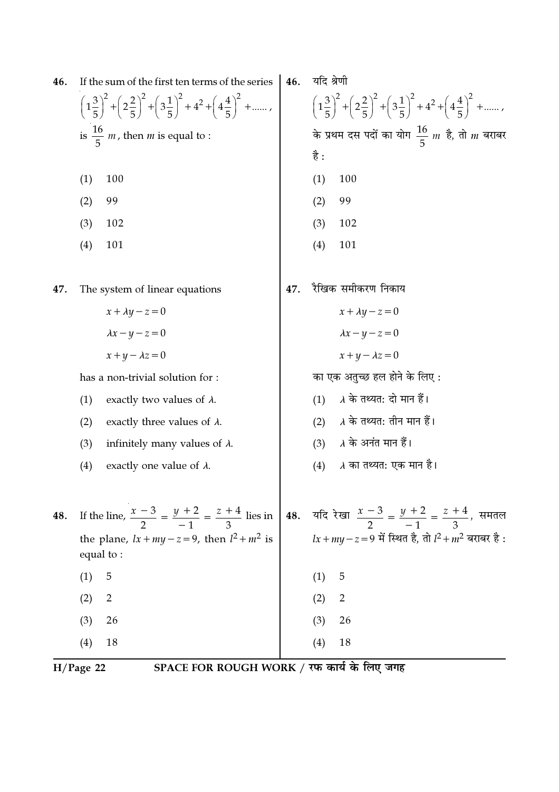| 46. | If the sum of the first ten terms of the series                                                                                       | 46. | यदि श्रेणी                                                                                                                            |
|-----|---------------------------------------------------------------------------------------------------------------------------------------|-----|---------------------------------------------------------------------------------------------------------------------------------------|
|     | $\left(1\frac{3}{5}\right)^2 + \left(2\frac{2}{5}\right)^2 + \left(3\frac{1}{5}\right)^2 + 4^2 + \left(4\frac{4}{5}\right)^2 + \dots$ |     | $\left(1\frac{3}{5}\right)^2 + \left(2\frac{2}{5}\right)^2 + \left(3\frac{1}{5}\right)^2 + 4^2 + \left(4\frac{4}{5}\right)^2 + \dots$ |
|     | is $\frac{16}{5}$ <i>m</i> , then <i>m</i> is equal to :                                                                              |     | के प्रथम दस पदों का योग $\frac{16}{5}$ m है, तो m बराबर                                                                               |
|     |                                                                                                                                       |     | है :                                                                                                                                  |
|     | 100<br>(1)                                                                                                                            |     | (1)<br>100                                                                                                                            |
|     | 99<br>(2)                                                                                                                             |     | 99<br>(2)                                                                                                                             |
|     | 102<br>(3)                                                                                                                            |     | 102<br>(3)                                                                                                                            |
|     | 101<br>(4)                                                                                                                            |     | 101<br>(4)                                                                                                                            |
| 47. | The system of linear equations                                                                                                        | 47. | रैखिक समीकरण निकाय                                                                                                                    |
|     | $x + \lambda y - z = 0$                                                                                                               |     | $x + \lambda y - z = 0$                                                                                                               |
|     | $\lambda x - y - z = 0$                                                                                                               |     | $\lambda x - y - z = 0$                                                                                                               |
|     | $x+y-\lambda z=0$                                                                                                                     |     | $x+y-\lambda z=0$                                                                                                                     |
|     | has a non-trivial solution for:                                                                                                       |     | का एक अतुच्छ हल होने के लिए :                                                                                                         |
|     | (1)<br>exactly two values of $\lambda$ .                                                                                              |     | $\lambda$ के तथ्यत: दो मान हैं।<br>(1)                                                                                                |
|     | exactly three values of $\lambda$ .<br>(2)                                                                                            |     | $\lambda$ के तथ्यत: तीन मान हैं।<br>(2)                                                                                               |
|     | infinitely many values of $\lambda$ .<br>(3)                                                                                          |     | $\lambda$ के अनंत मान हैं।<br>(3)                                                                                                     |
|     | exactly one value of $\lambda$ .<br>(4)                                                                                               |     | $\lambda$ का तथ्यत: एक मान है।<br>(4)                                                                                                 |
|     |                                                                                                                                       |     |                                                                                                                                       |
| 48. | If the line, $\frac{x-3}{2} = \frac{y+2}{-1} = \frac{z+4}{3}$ lies in                                                                 |     | 48. यदि रेखा $\frac{x-3}{2} = \frac{y+2}{-1} = \frac{z+4}{3}$ , समतल                                                                  |
|     | the plane, $lx + my - z = 9$ , then $l^2 + m^2$ is<br>equal to:                                                                       |     | $lx + my - z = 9$ में स्थित है, तो $l^2 + m^2$ बराबर है:                                                                              |
|     | 5<br>(1)                                                                                                                              |     | 5<br>(1)                                                                                                                              |
|     | (2)<br>$\overline{2}$                                                                                                                 |     | (2)<br>$\overline{2}$                                                                                                                 |
|     | (3)<br>26                                                                                                                             |     | 26<br>(3)                                                                                                                             |
|     | 18<br>(4)                                                                                                                             |     | 18<br>(4)                                                                                                                             |
|     |                                                                                                                                       |     |                                                                                                                                       |

 $\frac{1}{H/Page 22}$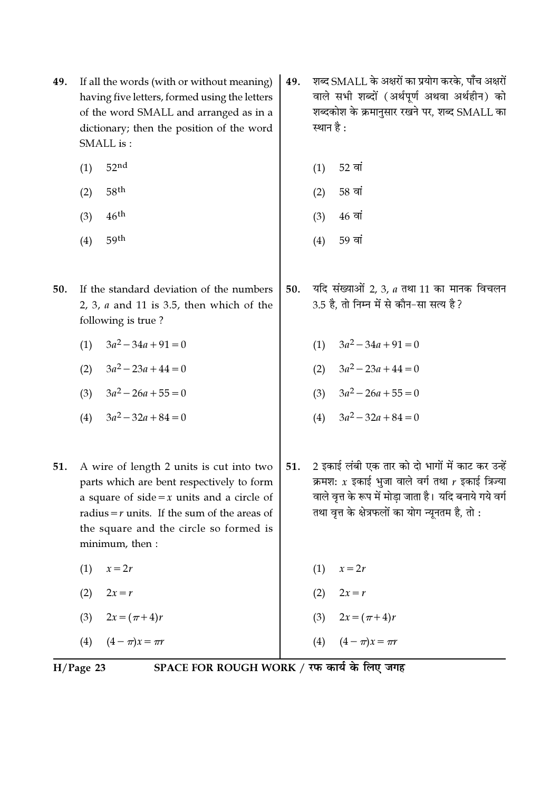- If all the words (with or without meaning) 49. having five letters, formed using the letters of the word SMALL and arranged as in a dictionary; then the position of the word SMALL is:
	- $52<sub>nd</sub>$  $(1)$
	- $58<sup>th</sup>$  $(2)$
	- $46<sup>th</sup>$  $(3)$
	- 59th  $(4)$
- 50. If the standard deviation of the numbers 2, 3,  $a$  and 11 is 3.5, then which of the following is true?
	- (1)  $3a^2 34a + 91 = 0$
	- (2)  $3a^2 23a + 44 = 0$
	- (3)  $3a^2 26a + 55 = 0$
	- (4)  $3a^2 32a + 84 = 0$
- 51. A wire of length 2 units is cut into two parts which are bent respectively to form a square of side = x units and a circle of radius =  $r$  units. If the sum of the areas of the square and the circle so formed is minimum, then:
	- $(1)$  $x=2r$
	- (2)  $2x = r$
	- $2x = (\pi + 4)r$  $(3)$
	- $(4 \pi)x = \pi r$  $(4)$
- शब्द SMALL के अक्षरों का प्रयोग करके. पाँच अक्षरों 49. वाले सभी शब्दों (अर्थपूर्ण अथवा अर्थहीन) को शब्दकोश के क्रमानुसार रखने पर, शब्द SMALL का स्थान है :
	- 52 वां  $(1)$
	- 58 वां  $(2)$
	- $46 \overline{q}$ गं  $(3)$
	- $(4)$ 59 वां
- यदि संख्याओं 2, 3, a तथा 11 का मानक विचलन 50. 3.5 है, तो निम्न में से कौन-सा सत्य है?
	- (1)  $3a^2 34a + 91 = 0$
	- (2)  $3a^2 23a + 44 = 0$
	- (3)  $3a^2 26a + 55 = 0$
	- (4)  $3a^2 32a + 84 = 0$
- 2 इकाई लंबी एक तार को दो भागों में काट कर उन्हें 51. क्रमश:  $x$  इकाई भजा वाले वर्ग तथा  $r$  इकाई त्रिज्या वाले वत्त के रूप में मोडा जाता है। यदि बनाये गये वर्ग तथा वत्त के क्षेत्रफलों का योग न्यनतम है, तो :
- $(1)$   $x=2r$  $(2)$  $2x = r$ 
	- $2x = (\pi + 4)r$  $(3)$

 $(4 - \pi)x = \pi r$ 

 $(4)$ 

 $H/Page$  23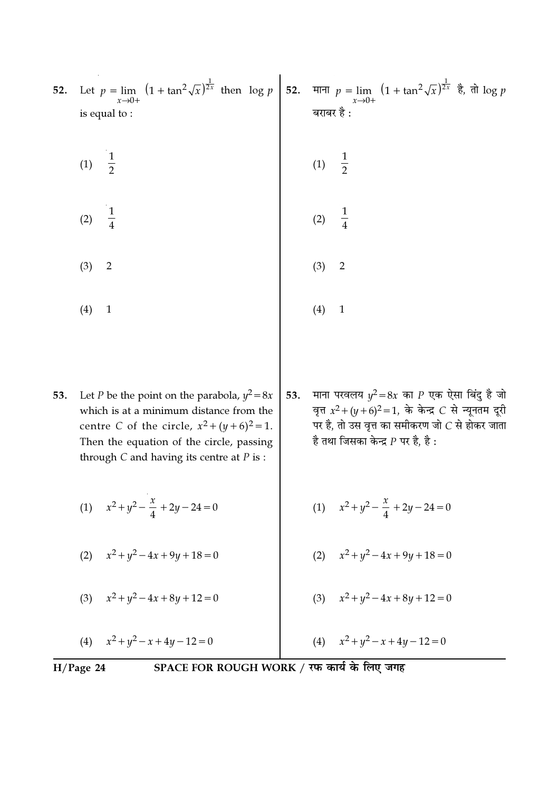| 52. | Let $p = \lim_{x \to 0+} (1 + \tan^2 \sqrt{x})^{\frac{1}{2x}}$ then $\log p$<br>is equal to:                                                                                                                                                   |     | 52. माना $p = \lim_{x \to 0+} (1 + \tan^2 \sqrt{x})^{\frac{1}{2x}}$ है, तो log p<br>बराबर है :                                                                                                        |
|-----|------------------------------------------------------------------------------------------------------------------------------------------------------------------------------------------------------------------------------------------------|-----|-------------------------------------------------------------------------------------------------------------------------------------------------------------------------------------------------------|
|     | $\frac{1}{2}$<br>(1)                                                                                                                                                                                                                           |     | (1) $\frac{1}{2}$                                                                                                                                                                                     |
|     | $\frac{1}{4}$<br>(2)                                                                                                                                                                                                                           |     | (2)                                                                                                                                                                                                   |
|     | (3)<br>$\sqrt{2}$                                                                                                                                                                                                                              |     | (3)<br>$\overline{2}$                                                                                                                                                                                 |
|     | (4)<br>$\mathbf{1}$                                                                                                                                                                                                                            |     | (4)<br>$\mathbf{1}$                                                                                                                                                                                   |
| 53. | Let <i>P</i> be the point on the parabola, $y^2 = 8x$<br>which is at a minimum distance from the<br>centre C of the circle, $x^2 + (y+6)^2 = 1$ .<br>Then the equation of the circle, passing<br>through $C$ and having its centre at $P$ is : | 53. | माना परवलय $y^2 = 8x$ का P एक ऐसा बिंदु है जो<br>वृत्त $x^2 + (y+6)^2 = 1$ , के केन्द्र C से न्यूनतम दूरी<br>पर है, तो उस वृत्त का समीकरण जो $C$ से होकर जाता<br>है तथा जिसका केन्द्र $P$ पर है, है : |
|     | (1) $x^2 + y^2 - \frac{x}{4} + 2y - 24 = 0$                                                                                                                                                                                                    |     | (1) $x^2 + y^2 - \frac{x}{4} + 2y - 24 = 0$                                                                                                                                                           |

- (2)  $x^2 + y^2 4x + 9y + 18 = 0$ (2)  $x^2 + y^2 - 4x + 9y + 18 = 0$
- (3)  $x^2 + y^2 4x + 8y + 12 = 0$

(4)  $x^2 + y^2 - x + 4y - 12 = 0$ 

(3)  $x^2 + y^2 - 4x + 8y + 12 = 0$ 

 $H/Page 24$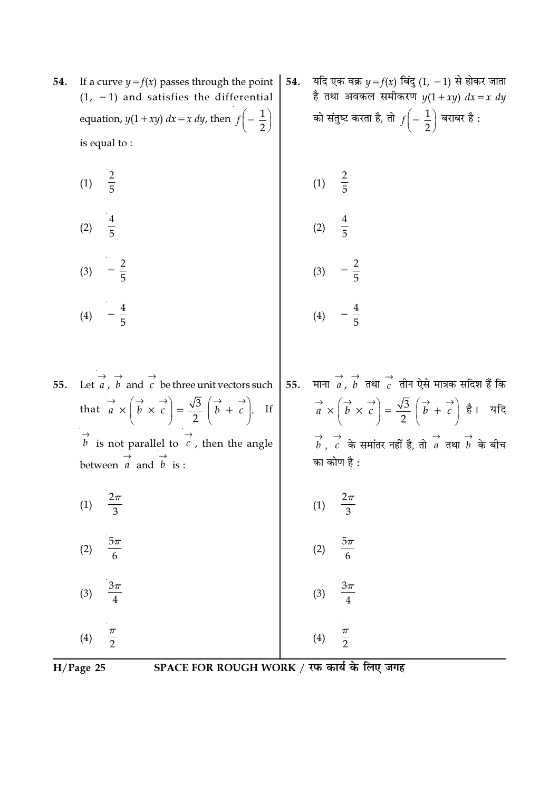- 54. If a curve  $y = f(x)$  passes through the point  $(1, -1)$  and satisfies the differential equation,  $y(1+xy) dx = x dy$ , then  $f\left(-\frac{1}{2}\right)$ is equal to:
	- $\frac{2}{5}$  $(1)$  $\frac{4}{5}$  $(2)$  $rac{2}{5}$  $(3)$
	- $-\frac{4}{5}$  $(4)$

Let  $\overrightarrow{a}$ ,  $\overrightarrow{b}$  and  $\overrightarrow{c}$  be three unit vectors such 55. that  $\overrightarrow{a} \times \left(\overrightarrow{b} \times \overrightarrow{c}\right) = \frac{\sqrt{3}}{2} \left(\overrightarrow{b} + \overrightarrow{c}\right)$ . If  $\overrightarrow{b}$  is not parallel to  $\overrightarrow{c}$ , then the angle between  $\overrightarrow{a}$  and  $\overrightarrow{b}$  is :

- $\frac{2\pi}{3}$  $(1)$
- $5\pi$  $(2)$
- $\frac{3\pi}{4}$  $(3)$

 $\frac{\pi}{2}$  $(4)$ 

यदि एक वक्र  $y = f(x)$  बिंदु  $(1, -1)$  से होकर जाता 54. है तथा अवकल समीकरण  $y(1+xy) dx = x dy$ को संतुष्ट करता है, तो  $f\left(-\frac{1}{2}\right)$  बराबर है :

(1) 
$$
\frac{2}{5}
$$
  
\n(2)  $\frac{4}{5}$   
\n(3)  $-\frac{2}{5}$   
\n(4)  $-\frac{4}{5}$ 

माना $\overrightarrow{a}$ ,  $\overrightarrow{b}$  तथा  $\overrightarrow{c}$  तीन ऐसे मात्रक सदिश हैं कि 55.  $\vec{a} \times (\vec{b} \times \vec{c}) = \frac{\sqrt{3}}{2} (\vec{b} + \vec{c})$  है। यदि  $\overrightarrow{b}$ , c के समांतर नहीं है, तो a तथा  $\overrightarrow{b}$  के बीच का कोण है :

$$
(1) \quad \frac{2\pi}{3}
$$
\n
$$
(2) \quad \frac{5\pi}{6}
$$

$$
(3) \quad \frac{3\pi}{4}
$$

 $(4)$ 

 $\pi$ 

 $H/Page$  25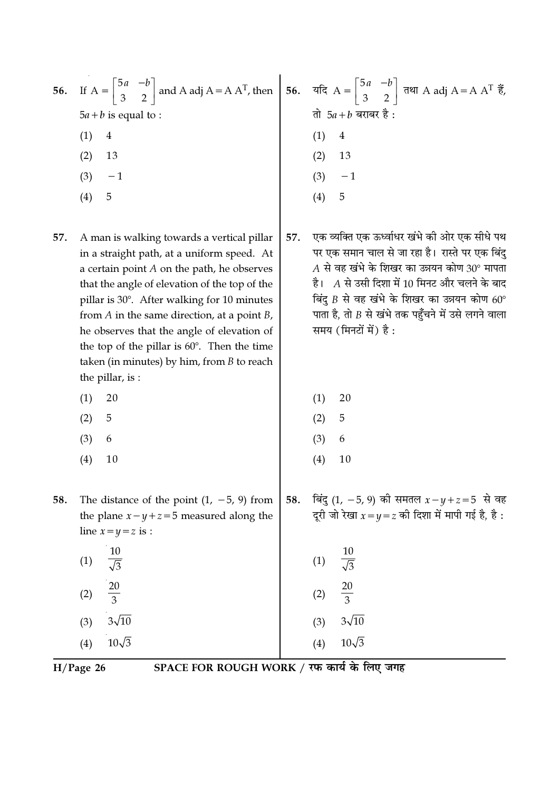| 56. If $A = \begin{bmatrix} 5a & -b \\ 3 & 2 \end{bmatrix}$ and A adj $A = A A^{T}$ , then $\begin{bmatrix} 56 & 7a & -b \\ 56 & 2 & 2 \end{bmatrix}$ $\vec{r}$ and A adj $A = A A^{T} \vec{r}$ , |                        |
|---------------------------------------------------------------------------------------------------------------------------------------------------------------------------------------------------|------------------------|
| $5a + b$ is equal to :                                                                                                                                                                            | तो $5a + b$ बराबर है:  |
| 4                                                                                                                                                                                                 | 4                      |
| 13<br>(2)                                                                                                                                                                                         | (2)<br>13              |
| (3)<br>$-1$                                                                                                                                                                                       | (3)<br>$-1$            |
| $\left( 4\right)$<br>5                                                                                                                                                                            | 5<br>$\left( 4\right)$ |
|                                                                                                                                                                                                   |                        |

- A man is walking towards a vertical pillar 57. in a straight path, at a uniform speed. At a certain point  $A$  on the path, he observes that the angle of elevation of the top of the pillar is 30°. After walking for 10 minutes from  $A$  in the same direction, at a point  $B$ , he observes that the angle of elevation of the top of the pillar is  $60^\circ$ . Then the time taken (in minutes) by him, from  $B$  to reach the pillar, is:
	- $(1)$ 20
	- $(2)$ 5
	- $(3)$ 6
	- $(4)$  $10$
- The distance of the point  $(1, -5, 9)$  from 58. the plane  $x - y + z = 5$  measured along the line  $x=y=z$  is :
	- $10$  $(1)$  $\sqrt{3}$  $(2)$  $3\sqrt{10}$  $(3)$
	- $(4)$  $10\sqrt{3}$

 $H/Page$  26

SPACE FOR ROUGH WORK / रफ कार्य के लिए जगह

- एक व्यक्ति एक ऊर्ध्वाधर खंभे की ओर एक सीधे पथ 57. पर एक समान चाल से जा रहा है। रास्ते पर एक बिंदु  $A$  से वह खंभे के शिखर का उन्नयन कोण 30° मापता है। A से उसी दिशा में 10 मिनट और चलने के बाद बिंदु  $B$  से वह खंभे के शिखर का उन्नयन कोण 60° पाता है, तो  $B$  से खंभे तक पहँचने में उसे लगने वाला समय (मिनटों में) है:
	- 20  $(1)$
	- $(2)$ 5
	- $(3)$ 6
	- $(4)$  $10$

 $(1)$ 

 $(2)$ 

 $(3)$ 

 $(4)$ 

 $3\sqrt{10}$ 

 $10\sqrt{3}$ 

बिंदु (1, -5, 9) की समतल  $x - y + z = 5$  से वह 58. दूरी जो रेखा  $x = y = z$  की दिशा में मापी गई है, है :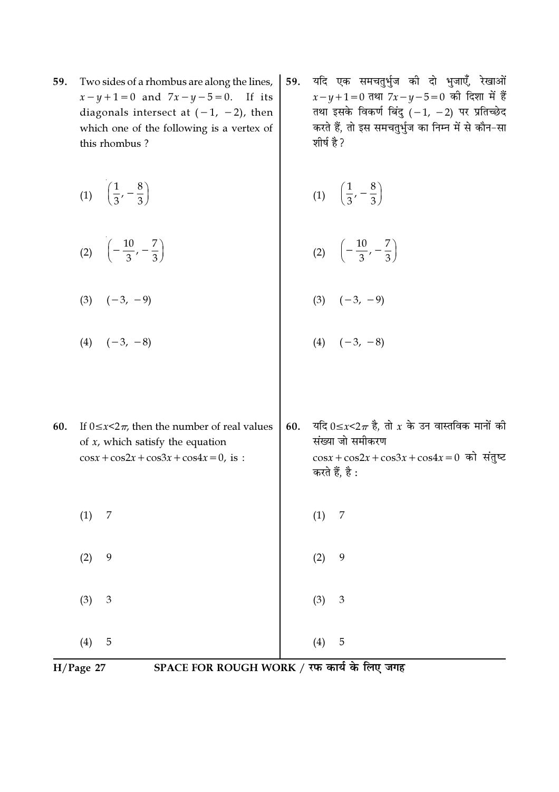- 59. Two sides of a rhombus are along the lines,  $x - y + 1 = 0$  and  $7x - y - 5 = 0$ . If its diagonals intersect at  $(-1, -2)$ , then which one of the following is a vertex of this rhombus?
	- (1)  $\left(\frac{1}{3}, -\frac{8}{3}\right)$
	- (2)  $\left(-\frac{10}{3}, -\frac{7}{3}\right)$
	- $(3) \quad (-3, -9)$
	- $(4)$   $(-3, -8)$

यदि एक समचतुर्भुज की दो भुजाएँ, रेखाओं 59.  $x-y+1=0$  तथा  $7x-y-5=0$  की दिशा में हैं तथा इसके विकर्ण बिंदु  $(-1, -2)$  पर प्रतिच्छेद करते हैं, तो इस समचतुर्भुज का निम्न में से कौन-सा शीर्ष है ?

$$
(1) \quad \left(\frac{1}{3},-\frac{8}{3}\right)
$$

$$
(2) \quad \left(-\frac{10}{3},-\frac{7}{3}\right)
$$

$$
(3) \quad (-3, -9)
$$

$$
(4) \quad (-3, -8)
$$

यदि  $0 \le x < 2\pi$  है, तो  $x$  के उन वास्तविक मानों की 60. If  $0 \le x \le 2\pi$ , then the number of real values 60. संख्या जो समीकरण of  $x$ , which satisfy the equation  $\cos x + \cos 2x + \cos 3x + \cos 4x = 0$ , is :  $\cos x + \cos 2x + \cos 3x + \cos 4x = 0$  को संतुष्ट करते हैं, है :  $(1)$  $\overline{7}$  $(1)$  $\overline{7}$  $(2)$ 9  $(2)$ 9  $(3)$ 3  $(3)$ 3  $(4)$  $5\phantom{.0}$  $(4)$  $\overline{5}$ 

$$
H/Page 27
$$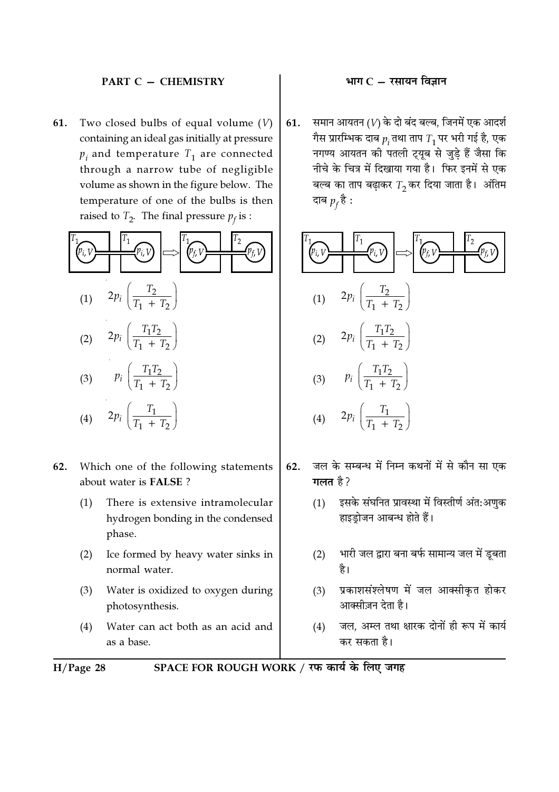### **PART C - CHEMISTRY**

Two closed bulbs of equal volume  $(V)$ 61. containing an ideal gas initially at pressure  $p_i$  and temperature  $T_1$  are connected through a narrow tube of negligible volume as shown in the figure below. The temperature of one of the bulbs is then raised to  $T_2$ . The final pressure  $p_f$  is :



- Which one of the following statements 62. about water is FALSE?
	- There is extensive intramolecular  $(1)$ hydrogen bonding in the condensed phase.
	- $(2)$ Ice formed by heavy water sinks in normal water.
	- $(3)$ Water is oxidized to oxygen during photosynthesis.
	- Water can act both as an acid and  $(4)$ as a base.

## भाग $C - \bar{x}$ सायन विज्ञान

समान आयतन (V) के दो बंद बल्ब, जिनमें एक आदर्श 61. गैस प्रारम्भिक दाब  $p_i$ तथा ताप  $T_1$ पर भरी गई है, एक नगण्य आयतन की पतली ट्यूब से जुडे हैं जैसा कि नीचे के चित्र में दिखाया गया है। फिर इनमें से एक बल्ब का ताप बढ़ाकर  $T_2$ कर दिया जाता है। अंतिम दाब  $p_f$ है :



- जल के सम्बन्ध में निम्न कथनों में से कौन सा एक 62. गलत है ?
	- $(1)$ इसके संघनित प्रावस्था में विस्तीर्ण अंत:अणुक हाइड़ोजन आबन्ध होते हैं।
	- भारी जल द्वारा बना बर्फ सामान्य जल में डूबता  $(2)$ है।
	- प्रकाशसंश्लेषण में जल आक्सीकृत होकर  $(3)$ आक्सीज़न देता है।
	- जल, अम्ल तथा क्षारक दोनों ही रूप में कार्य  $(4)$ कर सकता है।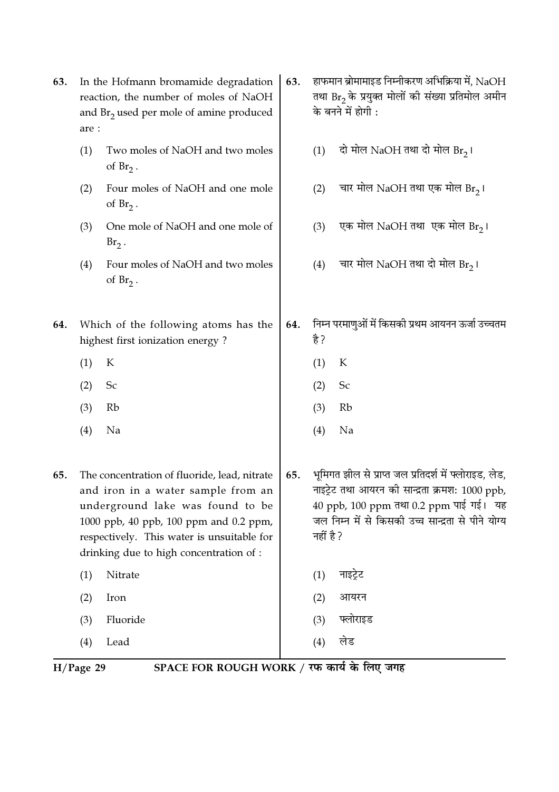| 63.                                                                                                               | In the Hofmann bromamide degradation<br>reaction, the number of moles of NaOH<br>and $Br2$ used per mole of amine produced<br>are : |                                                                                                                                                                                                                                                           | 63. |           | हाफमान ब्रोमामाइड निम्नीकरण अभिक्रिया में, $\rm NaOH$<br>तथा Br <sub>2</sub> के प्रयुक्त मोलों की संख्या प्रतिमोल अमीन<br>के बनने में होगी :                                                             |
|-------------------------------------------------------------------------------------------------------------------|-------------------------------------------------------------------------------------------------------------------------------------|-----------------------------------------------------------------------------------------------------------------------------------------------------------------------------------------------------------------------------------------------------------|-----|-----------|----------------------------------------------------------------------------------------------------------------------------------------------------------------------------------------------------------|
|                                                                                                                   | (1)                                                                                                                                 | Two moles of NaOH and two moles<br>of $Br_2$ .                                                                                                                                                                                                            |     | (1)       | दो मोल NaOH तथा दो मोल Br <sub>2</sub> ।                                                                                                                                                                 |
|                                                                                                                   | (2)                                                                                                                                 | Four moles of NaOH and one mole<br>of $Br_2$ .                                                                                                                                                                                                            |     | (2)       | चार मोल NaOH तथा एक मोल Br <sub>2</sub> ।                                                                                                                                                                |
|                                                                                                                   | (3)                                                                                                                                 | One mole of NaOH and one mole of<br>$Br2$ .                                                                                                                                                                                                               |     | (3)       | एक मोल NaOH तथा  एक मोल Br <sub>2</sub> ।                                                                                                                                                                |
|                                                                                                                   | (4)                                                                                                                                 | Four moles of NaOH and two moles<br>of $Br_2$ .                                                                                                                                                                                                           |     | (4)       | चार मोल NaOH तथा दो मोल Br2।                                                                                                                                                                             |
| 64.                                                                                                               |                                                                                                                                     | Which of the following atoms has the<br>highest first ionization energy?                                                                                                                                                                                  | 64. | है ?      | निम्न परमाणुओं में किसकी प्रथम आयनन ऊर्जा उच्चतम                                                                                                                                                         |
|                                                                                                                   | (1)                                                                                                                                 | К                                                                                                                                                                                                                                                         |     | (1)       | К                                                                                                                                                                                                        |
|                                                                                                                   | (2)                                                                                                                                 | Sc                                                                                                                                                                                                                                                        |     | (2)       | Sc                                                                                                                                                                                                       |
|                                                                                                                   | (3)                                                                                                                                 | Rb                                                                                                                                                                                                                                                        |     | (3)       | Rb                                                                                                                                                                                                       |
|                                                                                                                   | (4)                                                                                                                                 | Na                                                                                                                                                                                                                                                        |     | (4)       | Na                                                                                                                                                                                                       |
| 65.                                                                                                               |                                                                                                                                     | The concentration of fluoride, lead, nitrate<br>and iron in a water sample from an<br>underground lake was found to be<br>1000 ppb, 40 ppb, 100 ppm and 0.2 ppm,<br>respectively. This water is unsuitable for<br>drinking due to high concentration of : | 65. | नहीं है ? | भूमिगत झील से प्राप्त जल प्रतिदर्श में फ्लोराइड, लेड,<br>नाइट्रेट तथा आयरन की सान्द्रता क्रमश: 1000 ppb,<br>40 ppb, 100 ppm तथा 0.2 ppm पाई गई। यह<br>जल निम्न में से किसकी उच्च सान्द्रता से पीने योग्य |
|                                                                                                                   | (1)                                                                                                                                 | Nitrate                                                                                                                                                                                                                                                   |     | (1)       | नाइट्रेट                                                                                                                                                                                                 |
|                                                                                                                   | (2)                                                                                                                                 | Iron                                                                                                                                                                                                                                                      |     | (2)       | आयरन                                                                                                                                                                                                     |
|                                                                                                                   | (3)                                                                                                                                 | Fluoride                                                                                                                                                                                                                                                  |     | (3)       | फ्लोराइड                                                                                                                                                                                                 |
|                                                                                                                   | (4)                                                                                                                                 | Lead                                                                                                                                                                                                                                                      |     | (4)       | लेड                                                                                                                                                                                                      |
| $SPACE$ FOR ROUCH WORK $/$ TH $\overline{exp}$ $\overline{F}$ $\overline{exp}$ $\overline{exp}$<br>$U/D_{200}$ 20 |                                                                                                                                     |                                                                                                                                                                                                                                                           |     |           |                                                                                                                                                                                                          |

H/Page 29 SPACE FOR ROUGH WORK / रफ कार्य के लिए जगह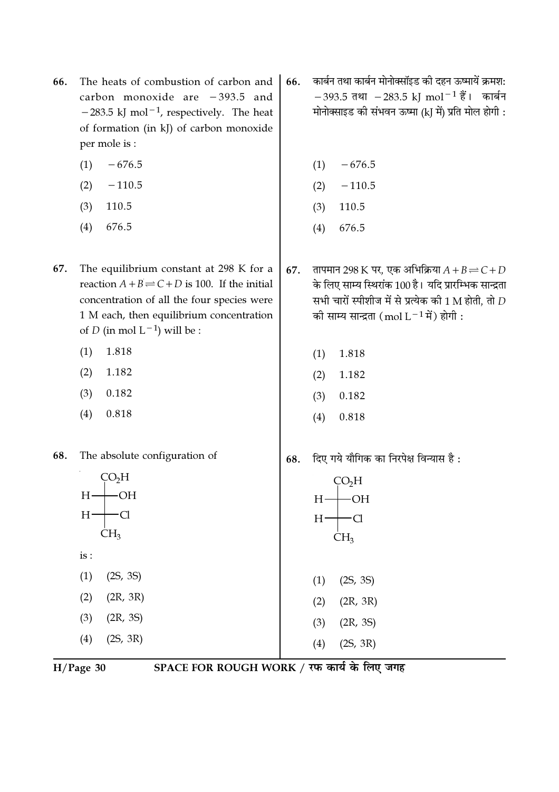- 66. The heats of combustion of carbon and carbon monoxide are  $-393.5$  and  $-283.5$  kJ mol<sup>-1</sup>, respectively. The heat of formation (in kJ) of carbon monoxide per mole is:
	- $(1)$  $-676.5$
	- $-110.5$  $(2)$
	- $(3)$ 110.5
	- $(4)$ 676.5
- The equilibrium constant at 298 K for a 67. reaction  $A + B \rightleftharpoons C + D$  is 100. If the initial concentration of all the four species were 1 M each, then equilibrium concentration of *D* (in mol  $L^{-1}$ ) will be :
	- 1.818  $(1)$
	- $(2)$ 1.182
	- $(3)$ 0.182
	- $(4)$ 0.818
- The absolute configuration of 68.



 $H/Page$  30

- कार्बन तथा कार्बन मोनोक्सॉइड की दहन ऊष्मायें क्रमश: 66.  $-393.5$  तथा  $-283.5$  kJ mol<sup>-1</sup> हैं। कार्बन मोनोक्साइड की संभवन ऊष्मा (kJ में) प्रति मोल होगी :
	- $-676.5$  $(1)$
	- $-110.5$  $(2)$
	- 110.5  $(3)$
	- 676.5  $(4)$
- तापमान 298 K पर, एक अभिक्रिया  $A + B \rightleftharpoons C + D$ 67. के लिए साम्य स्थिरांक 100 है। यदि प्रारम्भिक सान्द्रता सभी चारों स्पीशीज में से प्रत्येक की 1 M होती. तो  $D$ की साम्य सान्द्रता (mol L<sup>-1</sup> में) होगी:
	- $(1)$ 1.818
	- $(2)$ 1.182
	- $(3)$ 0.182
	- $(4)$ 0.818
- दिए गये यौगिक का निरपेक्ष विन्यास है: 68.



 $(2)$  $(2R, 3R)$ 

 $(2S, 3R)$ 

- $(3)$  $(2R, 3S)$
- $(4)$ 
	- SPACE FOR ROUGH WORK / रफ कार्य के लिए जगह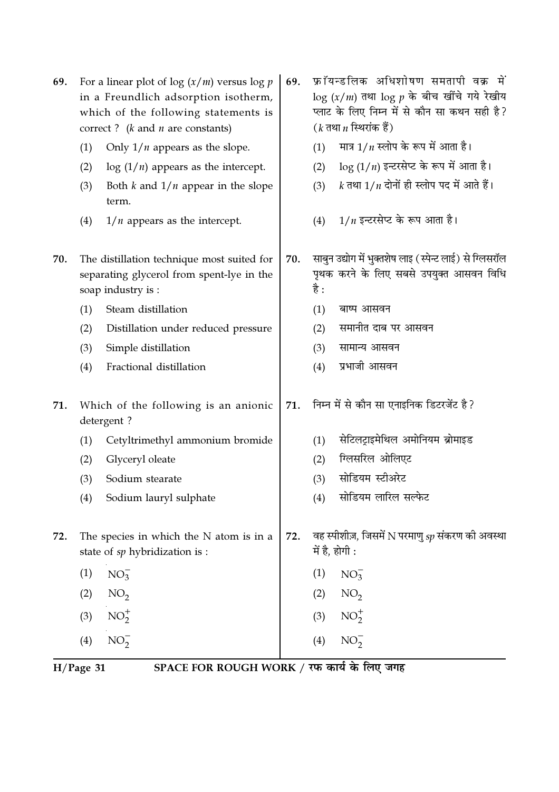| 69. |     | For a linear plot of log $(x/m)$ versus log $p$<br>in a Freundlich adsorption isotherm,<br>which of the following statements is<br>correct? $(k \text{ and } n \text{ are constants})$ | 69. |      | फ्रॉयन्डलिक अधिशोषण समतापी वक्र में<br>$\log(x/m)$ तथा $\log p$ के बीच खींचे गये रेखीय<br>प्लाट के लिए निम्न में से कौन सा कथन सही है?<br>( $k$ तथा $n$ स्थिरांक हैं) |
|-----|-----|----------------------------------------------------------------------------------------------------------------------------------------------------------------------------------------|-----|------|-----------------------------------------------------------------------------------------------------------------------------------------------------------------------|
|     | (1) | Only $1/n$ appears as the slope.                                                                                                                                                       |     | (1)  | मात्र $1/n$ स्लोप के रूप में आता है।                                                                                                                                  |
|     | (2) | $\log(1/n)$ appears as the intercept.                                                                                                                                                  |     | (2)  | $\log(1/n)$ इन्टरसेप्ट के रूप में आता है।                                                                                                                             |
|     | (3) | Both $k$ and $1/n$ appear in the slope<br>term.                                                                                                                                        |     | (3)  | $k$ तथा $1/n$ दोनों ही स्लोप पद में आते हैं।                                                                                                                          |
|     | (4) | $1/n$ appears as the intercept.                                                                                                                                                        |     | (4)  | $1/n$ इन्टरसेप्ट के रूप आता है।                                                                                                                                       |
| 70. |     | The distillation technique most suited for<br>separating glycerol from spent-lye in the<br>soap industry is :                                                                          | 70. | है : | साबुन उद्योग में भुक्तशेष लाइ (स्पेन्ट लाई) से ग्लिसरॉल<br>पृथक करने के लिए सबसे उपयुक्त आसवन विधि                                                                    |
|     | (1) | Steam distillation                                                                                                                                                                     |     | (1)  | बाष्प आसवन                                                                                                                                                            |
|     | (2) | Distillation under reduced pressure                                                                                                                                                    |     | (2)  | समानीत दाब पर आसवन                                                                                                                                                    |
|     | (3) | Simple distillation                                                                                                                                                                    |     | (3)  | सामान्य आसवन                                                                                                                                                          |
|     | (4) | Fractional distillation                                                                                                                                                                |     | (4)  | प्रभाजी आसवन                                                                                                                                                          |
| 71. |     | Which of the following is an anionic<br>detergent?                                                                                                                                     | 71. |      | निम्न में से कौन सा एनाइनिक डिटरजेंट है?                                                                                                                              |
|     | (1) | Cetyltrimethyl ammonium bromide                                                                                                                                                        |     | (1)  | सेटिलट्राइमेथिल अमोनियम ब्रोमाइड                                                                                                                                      |
|     | (2) | Glyceryl oleate                                                                                                                                                                        |     | (2)  | ग्लिसरिल ओलिएट                                                                                                                                                        |
|     | (3) | Sodium stearate                                                                                                                                                                        |     | (3)  | सोडियम स्टीअरेट                                                                                                                                                       |
|     | (4) | Sodium lauryl sulphate                                                                                                                                                                 |     | (4)  | सोडियम लारिल सल्फेट                                                                                                                                                   |
| 72. |     | The species in which the $N$ atom is in a<br>state of sp hybridization is :                                                                                                            | 72. |      | वह स्पीशीज़, जिसमें N परमाणु $sp$ संकरण की अवस्था<br>में है, होगी :                                                                                                   |
|     | (1) | $NO_3^-$                                                                                                                                                                               |     | (1)  | $NO_3^-$                                                                                                                                                              |
|     | (2) | NO <sub>2</sub>                                                                                                                                                                        |     | (2)  | NO <sub>2</sub>                                                                                                                                                       |
|     | (3) | $NO_2^+$                                                                                                                                                                               |     | (3)  | $NO_2^+$                                                                                                                                                              |
|     | (4) | $NO_2^-$                                                                                                                                                                               |     | (4)  | $NO_2^-$                                                                                                                                                              |

H/Page 31 SPACE FOR ROUGH WORK / रफ कार्य के लिए जगह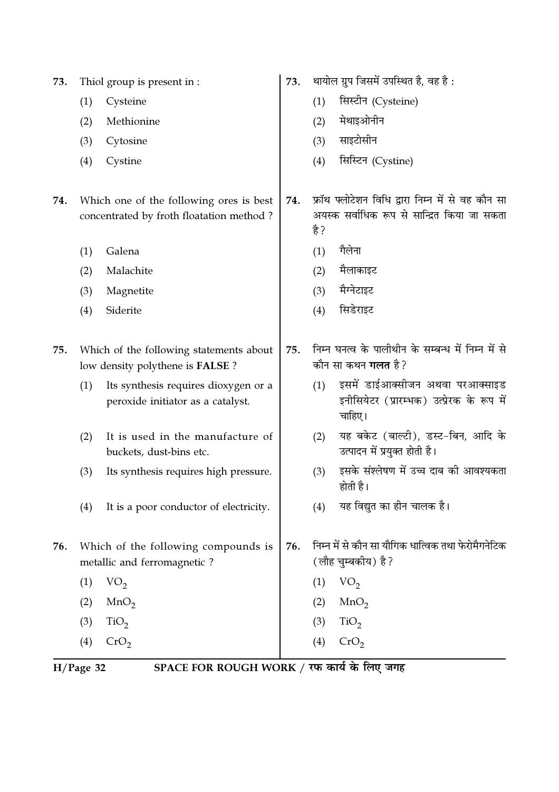Thiol group is present in : 73.

- $(1)$ Cysteine
- $(2)$ Methionine
- (3) Cytosine
- (4) Cystine
- 74. Which one of the following ores is best concentrated by froth floatation method?
	- $(1)$ Galena
	- $(2)$ Malachite
	- Magnetite  $(3)$
	- $(4)$ Siderite
- Which of the following statements about  $75.$ low density polythene is FALSE?
	- Its synthesis requires dioxygen or a  $(1)$ peroxide initiator as a catalyst.
	- $(2)$ It is used in the manufacture of buckets, dust-bins etc.
	- $(3)$ Its synthesis requires high pressure.
	- It is a poor conductor of electricity.  $(4)$
- 76. Which of the following compounds is metallic and ferromagnetic?
	- $(1)$  $VO<sub>2</sub>$  $MnO<sub>2</sub>$  $(2)$
	- $(3)$  $TiO<sub>2</sub>$
	- $(4)$  $CrO<sub>2</sub>$
- थायोल ग्रुप जिसमें उपस्थित है, वह है: 73.
	- सिस्टीन (Cysteine)  $(1)$
	- मेथाइओनीन  $(2)$
	- साइटोसीन  $(3)$
	- सिस्टिन (Cystine)  $(4)$
- फ्रॉथ फ्लोटेशन विधि द्वारा निम्न में से वह कौन सा 74. अयस्क सर्वाधिक रूप से सान्द्रित किया जा सकता है ?
	- गैलेना  $(1)$
	- मैलाकाइट  $(2)$
	- मैग्नेटाइट  $(3)$
	- सिडेराइट  $(4)$
- निम्न घनत्व के पालीथीन के सम्बन्ध में निम्न में से 75. कौन सा कथन **गलत** है?
	- $(1)$ इसमें डाईआक्सीजन अथवा परआक्साइड इनीसियेटर (प्रारम्भक) उत्प्रेरक के रूप में चाहिए।
	- (2) यह बकेट (बाल्टी), डस्ट-बिन, आदि के उत्पादन में प्रयुक्त होती है।
	- इसके संश्लेषण में उच्च दाब की आवश्यकता  $(3)$ होती है।
	- यह विद्युत का हीन चालक है।  $(4)$
- निम्न में से कौन सा यौगिक धात्विक तथा फेरोमैगनेटिक 76. (लौह चम्बकीय) है?
	- $(1)$  VO<sub>2</sub>
	- $(2)$  MnO<sub>2</sub>
	- $TiO<sub>2</sub>$  $(3)$
	- $(4)$  $CrO<sub>2</sub>$

 $H/Page$  32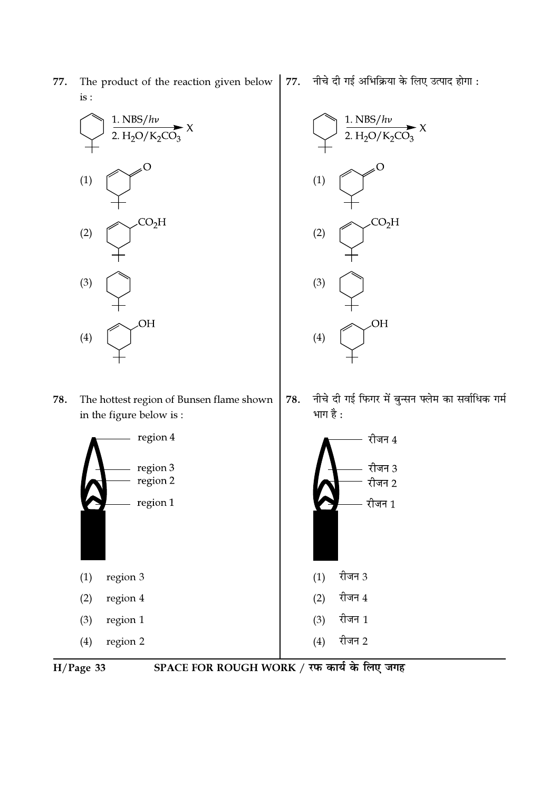1.  $NBS/h\nu$ 1.  $NBS/h\nu$ 2.  $H_2O/K_2CO_3$ 2.  $H_2O/K_2CO_3$ O O  $(1)$  $(1)$  $CO<sub>2</sub>H$  $CO<sub>2</sub>H$  $(2)$  $(2)$  $(3)$  $(3)$ OH OH  $(4)$  $(4)$ नीचे दी गई फिगर में बुन्सन फ्लेम का सर्वाधिक गर्म 78. The hottest region of Bunsen flame shown 78. भाग है : in the figure below is: region 4  $-$  रीजन  $4\,$ region 3 रीजन 3 region 2 रीजन 2 region 1 रीजन 1 रीजन 3  $(1)$ region 3  $(1)$ रीजन 4  $(2)$  $(2)$ region 4 रीजन 1 region 1  $(3)$  $(3)$ रीजन 2  $(4)$ region 2  $(4)$ 

77.

नीचे दी गई अभिक्रिया के लिए उत्पाद होगा :

 $H/Page$  33

77.

is :

The product of the reaction given below

SPACE FOR ROUGH WORK / रफ कार्य के लिए जगह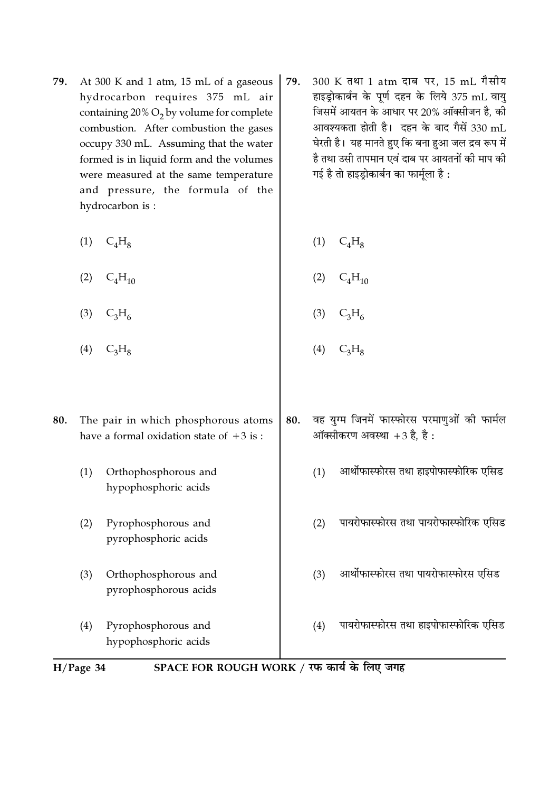- 79. At 300 K and 1 atm, 15 mL of a gaseous hydrocarbon requires 375 mL air containing  $20\%$  O<sub>2</sub> by volume for complete combustion. After combustion the gases occupy 330 mL. Assuming that the water formed is in liquid form and the volumes were measured at the same temperature and pressure, the formula of the hydrocarbon is:
	- $(1)$  $C<sub>4</sub>H<sub>8</sub>$  $(1)$  $C_4H_8$
	- $C<sub>4</sub>H<sub>10</sub>$  $C<sub>4</sub>H<sub>10</sub>$  $(2)$  $(2)$  $(3)$  $C_3H_6$  $(3)$  $C_3H_6$
	- $C_3H_8$  $(4)$  $(4)$
- वह युग्म जिनमें फास्फोरस परमाणुओं की फार्मल 80. The pair in which phosphorous atoms 80. ऑक्सीकरण अवस्था  $+3$  है, है: have a formal oxidation state of  $+3$  is:
	- आर्थोफास्फोरस तथा हाइपोफास्फोरिक एसिड  $(1)$
	- पायरोफास्फोरस तथा पायरोफास्फोरिक एसिड  $(2)$
	- आर्थोफास्फोरस तथा पायरोफास्फोरस एसिड  $(3)$
	- पायरोफास्फोरस तथा हाइपोफास्फोरिक एसिड  $(4)$



- $C_3H_8$
- 
- - $(1)$ Orthophosphorous and hypophosphoric acids
	- Pyrophosphorous and  $(2)$ pyrophosphoric acids
	- $(3)$ Orthophosphorous and pyrophosphorous acids
	- $(4)$ Pyrophosphorous and hypophosphoric acids

300 K तथा 1 atm दाब पर, 15 mL गैसीय 79. हाइड्रोकार्बन के पूर्ण दहन के लिये 375 mL वायु जिसमें आयतन के आधार पर 20% ऑक्सीजन है, की आवश्यकता होती है। दहन के बाद गैसें 330 mL घेरती है। यह मानते हुए कि बना हुआ जल द्रव रूप में है तथा उसी तापमान एवं दाब पर आयतनों की माप की गई है तो हाइड़ोकार्बन का फार्मुला है :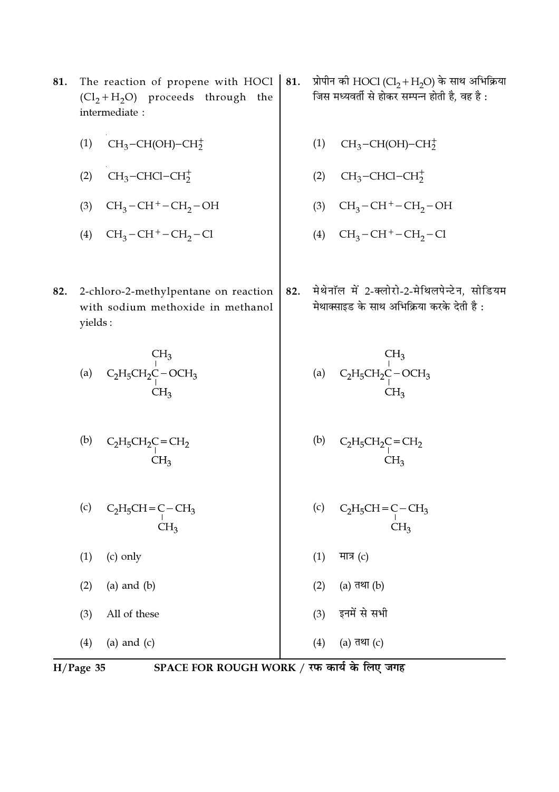- The reaction of propene with HOCl | 81.  $(Cl_2 + H_2O)$  proceeds through the intermediate:
	- $CH<sub>3</sub>-CH(OH)-CH<sub>2</sub><sup>+</sup>$  $(1)$
	- (2)  $CH_3$ -CHCl-CH<sub>2</sub><sup>+</sup>
	- (3)  $CH_3-CH^+-CH_2-OH$
	- (4)  $CH_3-CH^+-CH_2-Cl$
- 2-chloro-2-methylpentane on reaction 82. with sodium methoxide in methanol yields:

$$
\begin{array}{cc}\n & \text{CH}_3\\ \n\text{(a)} & \text{C}_2\text{H}_5\text{CH}_2\text{C} - \text{OCH}_3\\ \n\text{CH}_3\\ \n\end{array}
$$

(b) 
$$
C_2H_5CH_2C = CH_2
$$

$$
CH_3
$$

- $(c)$  $C_2H_5CH=C-CH_3$  $CH<sub>2</sub>$
- $(1)$ (c) only
- $(2)$  $(a)$  and  $(b)$
- All of these  $(3)$
- $(4)$ (a) and  $(c)$

 $H/Page$  35

SPACE FOR ROUGH WORK / रफ कार्य के लिए जगह

- प्रोपीन की HOCl (Cl<sub>2</sub> + H<sub>2</sub>O) के साथ अभिक्रिया 81. जिस मध्यवर्ती से होकर सम्पन्न होती है, वह है :
	- $CH<sub>3</sub>-CH(OH)-CH<sub>2</sub><sup>+</sup>$  $(1)$
	- $CH_3$ -CHCl-CH $_2^+$  $(2)$
	- $CH_3-CH^+-CH_2-OH$  $(3)$
	- (4)  $CH_3-CH^+-CH_2-Cl$
- मेथेनॉल में 2-क्लोरो-2-मेथिलपेन्टेन, सोडियम 82. मेथाक्साइड के साथ अभिक्रिया करके देती है:

(b) 
$$
C_2H_5CH_2C = CH_2
$$

$$
CH_3
$$
CH<sub>3</sub>

- $(c)$  $CH<sub>3</sub>$  $C_2H_5CH = C$  $CH<sub>3</sub>$
- $(1)$ मात्र $(c)$

 $(4)$ 

- $(2)$ (a) तथा (b)
- इनमें से सभी  $(3)$

(a) तथा (c)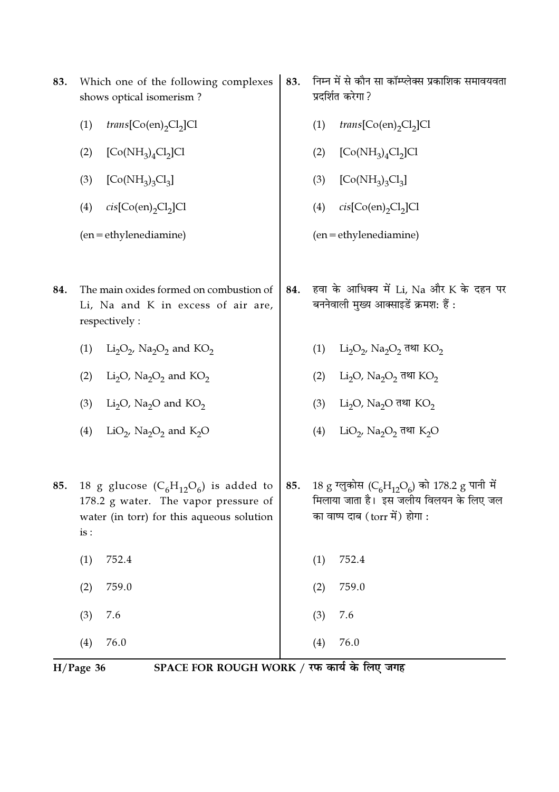|     | SPACE FOR ROUGH WORK / रफ कार्य के लिए जगह<br>$H/Page$ 36                                       |     |                                                                                                                              |  |  |
|-----|-------------------------------------------------------------------------------------------------|-----|------------------------------------------------------------------------------------------------------------------------------|--|--|
|     | 76.0<br>(4)                                                                                     |     | 76.0<br>(4)                                                                                                                  |  |  |
|     | (3)<br>7.6                                                                                      |     | 7.6<br>(3)                                                                                                                   |  |  |
|     | 759.0<br>(2)                                                                                    |     | 759.0<br>(2)                                                                                                                 |  |  |
|     | 752.4<br>(1)                                                                                    |     | 752.4<br>(1)                                                                                                                 |  |  |
|     | water (in torr) for this aqueous solution<br>is:                                                |     | का वाष्प दाब (torr में) होगा :                                                                                               |  |  |
| 85. | 18 g glucose $(C_6H_{12}O_6)$ is added to<br>178.2 g water. The vapor pressure of               | 85. | 18 g ग्लुकोस (C <sub>6</sub> H <sub>12</sub> O <sub>6</sub> ) को 178.2 g पानी में<br>मिलाया जाता है। इस जलीय विलयन के लिए जल |  |  |
|     | (4)<br>LiO <sub>2</sub> , Na <sub>2</sub> O <sub>2</sub> and K <sub>2</sub> O                   |     | LiO <sub>2</sub> , Na <sub>2</sub> O <sub>2</sub> तथा K <sub>2</sub> O<br>(4)                                                |  |  |
|     | (3)<br>Li <sub>2</sub> O, Na <sub>2</sub> O and KO <sub>2</sub>                                 |     | Li <sub>2</sub> O, Na <sub>2</sub> O तथा KO <sub>2</sub><br>(3)                                                              |  |  |
|     | (2)<br>Li <sub>2</sub> O, Na <sub>2</sub> O <sub>2</sub> and KO <sub>2</sub>                    |     | $Li_2O$ , $Na_2O_2$ तथा $KO_2$<br>(2)                                                                                        |  |  |
|     | (1)<br>$Li_2O_2$ , Na <sub>2</sub> O <sub>2</sub> and KO <sub>2</sub>                           |     | (1)<br>$Li_2O_2$ , Na <sub>2</sub> O <sub>2</sub> तथा KO <sub>2</sub>                                                        |  |  |
| 84. | The main oxides formed on combustion of<br>Li, Na and K in excess of air are,<br>respectively : | 84. | हवा के आधिक्य में Li, Na और K के दहन पर<br>बननेवाली मुख्य आक्साइडें क्रमश: हैं :                                             |  |  |
|     | $(en = ethylene diamine)$                                                                       |     | (en = ethylenediamine)                                                                                                       |  |  |
|     | (4)<br>$cis[Co(en)_2Cl_2]Cl$                                                                    |     | $cis[Co(en)_2Cl_2]Cl$<br>(4)                                                                                                 |  |  |
|     | $[Co(NH_3)_3Cl_3]$<br>(3)                                                                       |     | $[Co(NH_3)_3Cl_3]$<br>(3)                                                                                                    |  |  |
|     | (2)<br>$[Co(NH3)4Cl2]Cl$                                                                        |     | (2)<br>$[Co(NH_3)_4Cl_2]Cl$                                                                                                  |  |  |
|     | (1)<br>trans[Co(en),Cl <sub>2</sub> ]Cl                                                         |     | (1)<br>$trans[Co(en)_2Cl_2]Cl$                                                                                               |  |  |
| 83. | Which one of the following complexes<br>shows optical isomerism?                                | 83. | निम्न में से कौन सा कॉम्प्लेक्स प्रकाशिक समावयवता<br>प्रदर्शित करेगा ?                                                       |  |  |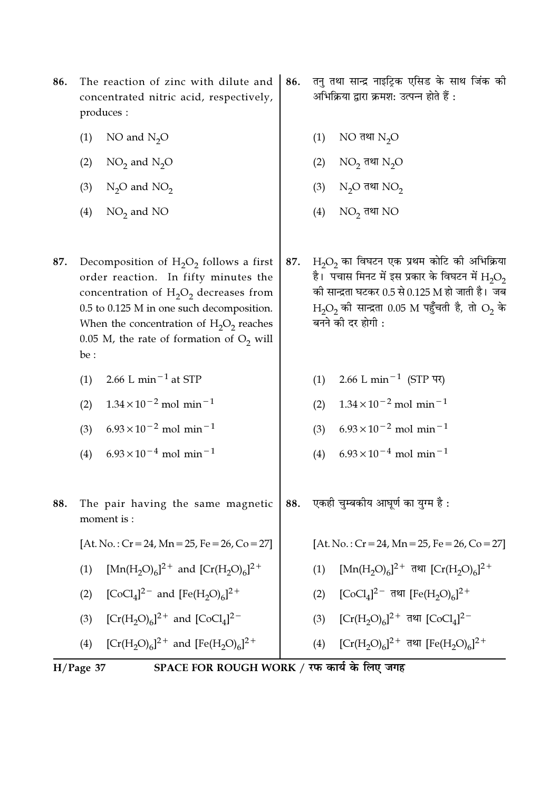- 86. The reaction of zinc with dilute and concentrated nitric acid, respectively, produces :
	- $(1)$ NO and  $N_2O$
	- $NO<sub>2</sub>$  and  $N<sub>2</sub>O$  $(2)$
	- (3)  $N_2O$  and  $NO_2$
	- $(4)$  NO<sub>2</sub> and NO
- Decomposition of  $H_2O_2$  follows a first 87. order reaction. In fifty minutes the concentration of  $H_2O_2$  decreases from 0.5 to 0.125 M in one such decomposition. When the concentration of  $H_2O_2$  reaches 0.05 M, the rate of formation of  $O_2$  will be:
	- 2.66 L min<sup> $-1$ </sup> at STP  $(1)$
	- $1.34 \times 10^{-2}$  mol min<sup>-1</sup>  $(2)$
	- $6.93 \times 10^{-2}$  mol min<sup>-1</sup>  $(3)$
	- $6.93 \times 10^{-4}$  mol min<sup>-1</sup>  $(4)$
- 88. The pair having the same magnetic moment is:
	- $[At. No.: Cr = 24, Mn = 25, Fe = 26, Co = 27]$
	- (1)  $[Mn(H, O)<sub>6</sub>]^{2+}$  and  $[Cr(H, O)<sub>6</sub>]^{2+}$
	- $[CoCl<sub>4</sub>]^{2-}$  and  $[Fe(H<sub>2</sub>O)<sub>6</sub>]^{2+}$  $(2)$
	- $[Cr(H<sub>2</sub>O)<sub>6</sub>]^{2+}$  and  $[CoCl<sub>4</sub>]^{2-}$  $(3)$
	- [Cr(H<sub>2</sub>O)<sub>6</sub>]<sup>2+</sup> and [Fe(H<sub>2</sub>O)<sub>6</sub>]<sup>2+</sup>  $(4)$
- तनु तथा सान्द्र नाइट्रिक एसिड के साथ जिंक की 86. अभिक्रिया द्वारा क्रमश: उत्पन्न होते हैं :
	- $(1)$ NO तथा  $N_2O$
	- $NO<sub>2</sub>$  तथा  $N<sub>2</sub>O$  $(2)$
	- $N_2O$  तथा  $NO_2$  $(3)$
	- $(4)$  NO<sub>2</sub> तथा NO
- $H_2O_2$  का विघटन एक प्रथम कोटि की अभिक्रिया 87. है। पचास मिनट में इस प्रकार के विघटन में  ${\rm H_2O_2}$ की सान्द्रता घटकर 0.5 से 0.125 M हो जाती है। जब H<sub>2</sub>O<sub>2</sub> की सान्द्रता 0.05 M पहुँचती है, तो O<sub>2</sub> के बनने की दर होगी :
	- (1) 2.66 L min<sup>-1</sup> (STP पर)
	- (2)  $1.34 \times 10^{-2}$  mol min<sup>-1</sup>
	- (3)  $6.93 \times 10^{-2}$  mol min<sup>-1</sup>
	- (4)  $6.93 \times 10^{-4}$  mol min<sup>-1</sup>
- एकही चुम्बकीय आघूर्ण का युग्म है : 88.
	- $[At. No.: Cr = 24, Mn = 25, Fe = 26, Co = 27]$
	- (1)  $[Mn(H, O)<sub>6</sub>]$ <sup>2+</sup> तथा  $[Cr(H, O)<sub>6</sub>]$ <sup>2+</sup>
	- (2)  $[CoCl<sub>4</sub>]^{2-}$  तथा  $[Fe(H<sub>2</sub>O)<sub>6</sub>]^{2+}$
	- $[Cr(H<sub>2</sub>O)<sub>6</sub>]<sup>2+</sup>$  तथा  $[CoCl<sub>4</sub>]<sup>2-</sup>$  $(3)$
	- $[Cr(H<sub>2</sub>O)<sub>6</sub>]$ <sup>2+</sup> तथा  $[Fe(H<sub>2</sub>O)<sub>6</sub>]$ <sup>2+</sup>  $(4)$

 $H/Page$  37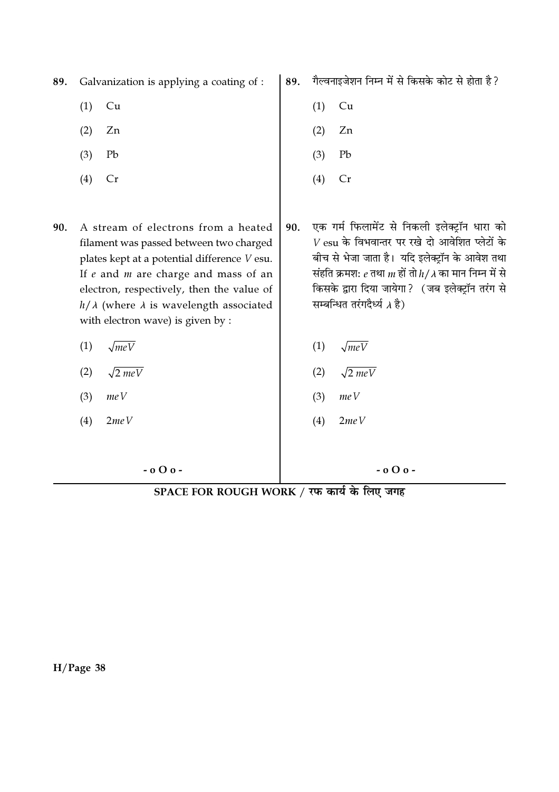89. Galvanization is applying a coating of :

- $(1)$  $Cu$
- $(2)$ Zn
- $(3)$ Pb
- $(4)$  $Cr$
- 90. A stream of electrons from a heated filament was passed between two charged plates kept at a potential difference V esu. If  $e$  and  $m$  are charge and mass of an electron, respectively, then the value of  $h/\lambda$  (where  $\lambda$  is wavelength associated with electron wave) is given by :
	- $(1)$  $\sqrt{meV}$
	- $(2)$  $\sqrt{2 meV}$
	- $meV$  $(3)$
	- $2meV$  $(4)$

 $-0$  O  $0$  -

गैल्वनाइजेशन निम्न में से किसके कोट से होता है? 89.

- $(1)$  $Cu$
- Zn  $(2)$
- $(3)$ Pb
- $(4)$  $Cr$
- एक गर्म फिलामेंट से निकली इलेक्टॉन धारा को 90.  $V\, \mathrm{esu}$  के विभवान्तर पर रखे दो आवेशित प्लेटों के बीच से भेजा जाता है। यदि इलेक्टॉन के आवेश तथा संहति क्रमश:  $e$  तथा  $m$  हों तो  $h/\lambda$  का मान निम्न में से किसके द्वारा दिया जायेगा? (जब इलेक्टॉन तरंग से सम्बन्धित तरंगदैर्ध्य *∧* है)
	- $(1)$  $\sqrt{meV}$
	- $(2)$  $\sqrt{2 meV}$
	- $(3)$  $meV$
	- $2meV$  $(4)$

 $-0$  O  $0$  -

SPACE FOR ROUGH WORK / रफ कार्य के लिए जगह

 $H/Page$  38